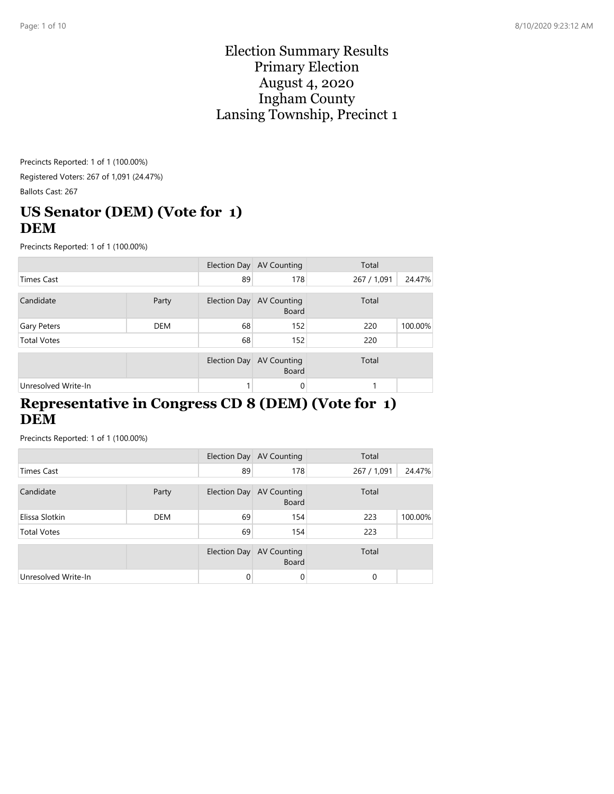#### Election Summary Results Primary Election August 4, 2020 Ingham County Lansing Township, Precinct 1

Precincts Reported: 1 of 1 (100.00%) Registered Voters: 267 of 1,091 (24.47%) Ballots Cast: 267

# **US Senator (DEM) (Vote for 1) DEM**

Precincts Reported: 1 of 1 (100.00%)

|                     |            |              | Election Day AV Counting                 | Total       |         |
|---------------------|------------|--------------|------------------------------------------|-------------|---------|
| <b>Times Cast</b>   |            | 89           | 178                                      | 267 / 1,091 | 24.47%  |
| Candidate           | Party      |              | Election Day AV Counting<br><b>Board</b> | Total       |         |
| Gary Peters         | <b>DEM</b> | 68           | 152                                      | 220         | 100.00% |
| <b>Total Votes</b>  |            | 68           | 152                                      | 220         |         |
|                     |            | Election Day | <b>AV Counting</b><br><b>Board</b>       | Total       |         |
| Unresolved Write-In |            |              | 0                                        |             |         |

#### **Representative in Congress CD 8 (DEM) (Vote for 1) DEM**

|                     |            |              | Election Day AV Counting                 | Total       |         |
|---------------------|------------|--------------|------------------------------------------|-------------|---------|
| <b>Times Cast</b>   |            | 89           | 178                                      | 267 / 1,091 | 24.47%  |
| Candidate           | Party      |              | Election Day AV Counting<br><b>Board</b> | Total       |         |
| Elissa Slotkin      | <b>DEM</b> | 69           | 154                                      | 223         | 100.00% |
| <b>Total Votes</b>  |            | 69           | 154                                      | 223         |         |
|                     |            | Election Day | <b>AV Counting</b><br><b>Board</b>       | Total       |         |
| Unresolved Write-In |            | $\Omega$     | 0                                        | $\Omega$    |         |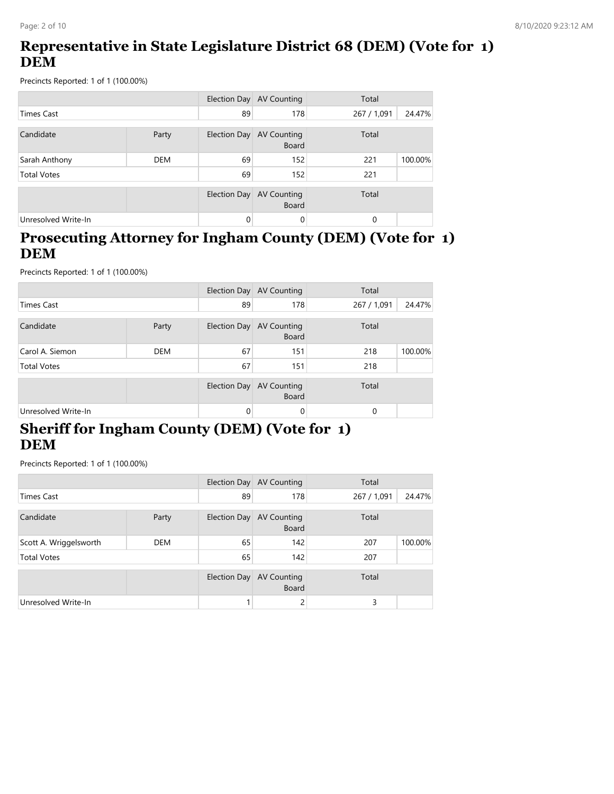# **Representative in State Legislature District 68 (DEM) (Vote for 1) DEM**

Precincts Reported: 1 of 1 (100.00%)

|                     |            |              | Election Day AV Counting           | Total       |         |
|---------------------|------------|--------------|------------------------------------|-------------|---------|
| <b>Times Cast</b>   |            | 89           | 178                                | 267 / 1,091 | 24.47%  |
| Candidate           | Party      | Election Day | AV Counting<br><b>Board</b>        | Total       |         |
| Sarah Anthony       | <b>DEM</b> | 69           | 152                                | 221         | 100.00% |
| <b>Total Votes</b>  |            | 69           | 152                                | 221         |         |
|                     |            | Election Day | <b>AV Counting</b><br><b>Board</b> | Total       |         |
| Unresolved Write-In |            | 0            | $\Omega$                           | 0           |         |

#### **Prosecuting Attorney for Ingham County (DEM) (Vote for 1) DEM**

Precincts Reported: 1 of 1 (100.00%)

|                     |            |              | Election Day AV Counting           | Total       |         |
|---------------------|------------|--------------|------------------------------------|-------------|---------|
| <b>Times Cast</b>   |            | 89           | 178                                | 267 / 1,091 | 24.47%  |
| Candidate           | Party      | Election Day | <b>AV Counting</b><br>Board        | Total       |         |
| Carol A. Siemon     | <b>DEM</b> | 67           | 151                                | 218         | 100.00% |
| <b>Total Votes</b>  |            | 67           | 151                                | 218         |         |
|                     |            | Election Day | <b>AV Counting</b><br><b>Board</b> | Total       |         |
| Unresolved Write-In |            | 0            | 0                                  | $\Omega$    |         |

### **Sheriff for Ingham County (DEM) (Vote for 1) DEM**

|                        |            |              | Election Day AV Counting                 | Total       |         |
|------------------------|------------|--------------|------------------------------------------|-------------|---------|
| <b>Times Cast</b>      |            | 89           | 178                                      | 267 / 1,091 | 24.47%  |
| Candidate              | Party      |              | Election Day AV Counting<br><b>Board</b> | Total       |         |
| Scott A. Wriggelsworth | <b>DEM</b> | 65           | 142                                      | 207         | 100.00% |
| <b>Total Votes</b>     |            | 65           | 142                                      | 207         |         |
|                        |            | Election Day | <b>AV Counting</b><br><b>Board</b>       | Total       |         |
| Unresolved Write-In    |            |              |                                          | 3           |         |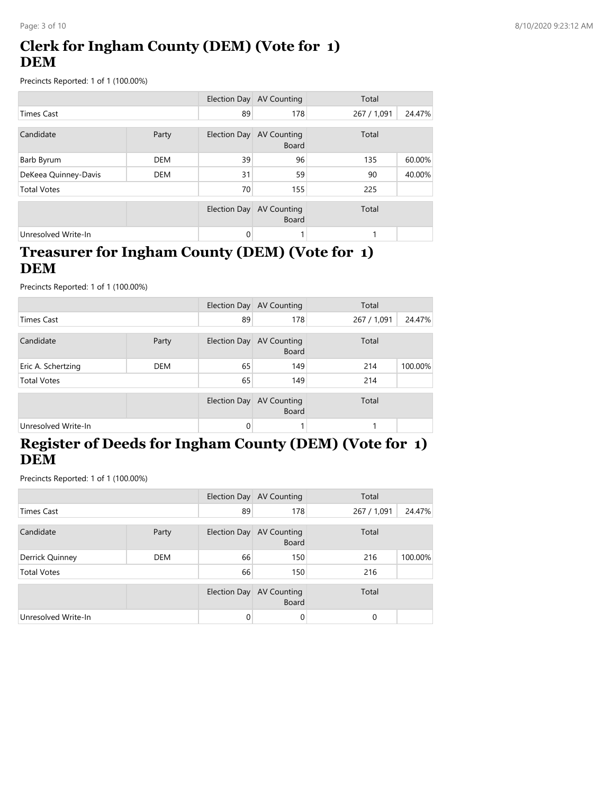# **Clerk for Ingham County (DEM) (Vote for 1) DEM**

Precincts Reported: 1 of 1 (100.00%)

|                      |            |              | Election Day AV Counting           | Total       |        |
|----------------------|------------|--------------|------------------------------------|-------------|--------|
| <b>Times Cast</b>    |            | 89           | 178                                | 267 / 1,091 | 24.47% |
| Candidate<br>Party   |            | Election Day | <b>AV Counting</b><br><b>Board</b> | Total       |        |
| Barb Byrum           | <b>DEM</b> | 39           | 96                                 | 135         | 60.00% |
| DeKeea Quinney-Davis | <b>DEM</b> | 31           | 59                                 | 90          | 40.00% |
| <b>Total Votes</b>   |            | 70           | 155                                | 225         |        |
|                      |            | Election Day | <b>AV Counting</b><br><b>Board</b> | Total       |        |
| Unresolved Write-In  |            | $\Omega$     |                                    |             |        |

### **Treasurer for Ingham County (DEM) (Vote for 1) DEM**

Precincts Reported: 1 of 1 (100.00%)

|                     |            |    | Election Day AV Counting                 | Total       |         |
|---------------------|------------|----|------------------------------------------|-------------|---------|
| <b>Times Cast</b>   |            | 89 | 178                                      | 267 / 1,091 | 24.47%  |
| Candidate           | Party      |    | Election Day AV Counting<br><b>Board</b> | Total       |         |
| Eric A. Schertzing  | <b>DEM</b> | 65 | 149                                      | 214         | 100.00% |
| <b>Total Votes</b>  |            | 65 | 149                                      | 214         |         |
|                     |            |    | Election Day AV Counting<br><b>Board</b> | Total       |         |
| Unresolved Write-In |            | 0  |                                          |             |         |

# **Register of Deeds for Ingham County (DEM) (Vote for 1) DEM**

|                     |            |              | Election Day AV Counting                 | Total       |         |
|---------------------|------------|--------------|------------------------------------------|-------------|---------|
| <b>Times Cast</b>   |            | 89           | 178                                      | 267 / 1,091 | 24.47%  |
| Candidate           | Party      |              | Election Day AV Counting<br><b>Board</b> | Total       |         |
| Derrick Quinney     | <b>DEM</b> | 66           | 150                                      | 216         | 100.00% |
| <b>Total Votes</b>  |            | 66           | 150                                      | 216         |         |
|                     |            | Election Day | <b>AV Counting</b><br><b>Board</b>       | Total       |         |
| Unresolved Write-In |            | $\Omega$     | 0                                        | $\Omega$    |         |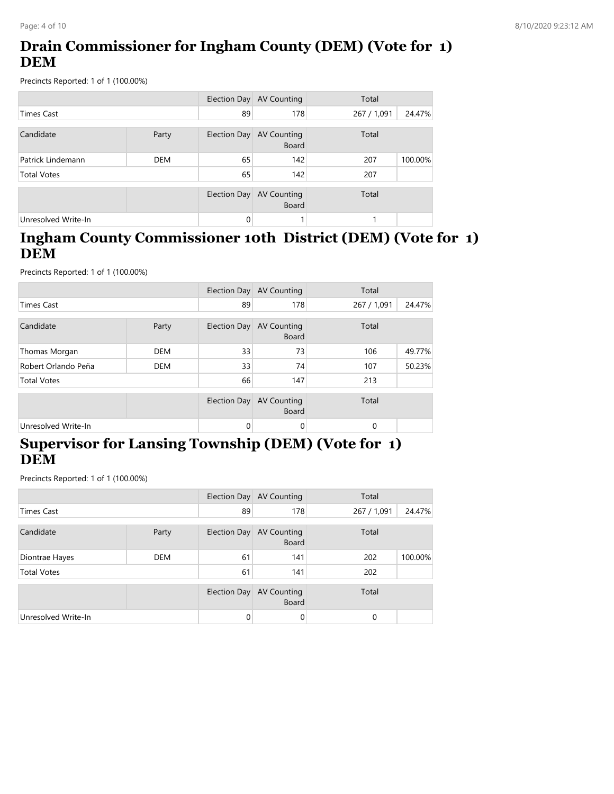# **Drain Commissioner for Ingham County (DEM) (Vote for 1) DEM**

Precincts Reported: 1 of 1 (100.00%)

|                     |            | Election Day | AV Counting                        | Total       |         |
|---------------------|------------|--------------|------------------------------------|-------------|---------|
| Times Cast          |            | 89           | 178                                | 267 / 1,091 | 24.47%  |
| Candidate           | Party      | Election Day | AV Counting<br><b>Board</b>        | Total       |         |
| Patrick Lindemann   | <b>DEM</b> | 65           | 142                                | 207         | 100.00% |
| <b>Total Votes</b>  |            | 65           | 142                                | 207         |         |
|                     |            | Election Day | <b>AV Counting</b><br><b>Board</b> | Total       |         |
| Unresolved Write-In |            | 0            |                                    |             |         |

#### **Ingham County Commissioner 10th District (DEM) (Vote for 1) DEM**

Precincts Reported: 1 of 1 (100.00%)

|                     |            |                     | Election Day AV Counting           | Total                 |
|---------------------|------------|---------------------|------------------------------------|-----------------------|
| <b>Times Cast</b>   |            | 89                  | 178                                | 24.47%<br>267 / 1,091 |
| Candidate           | Party      | Election Day        | <b>AV Counting</b><br><b>Board</b> | Total                 |
| Thomas Morgan       | <b>DEM</b> | 33                  | 73                                 | 106<br>49.77%         |
| Robert Orlando Peña | <b>DEM</b> | 33                  | 74                                 | 50.23%<br>107         |
| <b>Total Votes</b>  |            | 66                  | 147                                | 213                   |
|                     |            | <b>Election Day</b> | <b>AV Counting</b><br><b>Board</b> | Total                 |
| Unresolved Write-In |            | 0                   | 0                                  | $\Omega$              |

# **Supervisor for Lansing Township (DEM) (Vote for 1) DEM**

|                     |            |              | Election Day AV Counting                 | Total       |         |
|---------------------|------------|--------------|------------------------------------------|-------------|---------|
| <b>Times Cast</b>   |            | 89           | 178                                      | 267 / 1,091 | 24.47%  |
| Candidate           | Party      |              | Election Day AV Counting<br><b>Board</b> | Total       |         |
| Diontrae Hayes      | <b>DEM</b> | 61           | 141                                      | 202         | 100.00% |
| <b>Total Votes</b>  |            | 61           | 141                                      | 202         |         |
|                     |            | Election Day | <b>AV Counting</b><br><b>Board</b>       | Total       |         |
| Unresolved Write-In |            | 0            | 0                                        | $\Omega$    |         |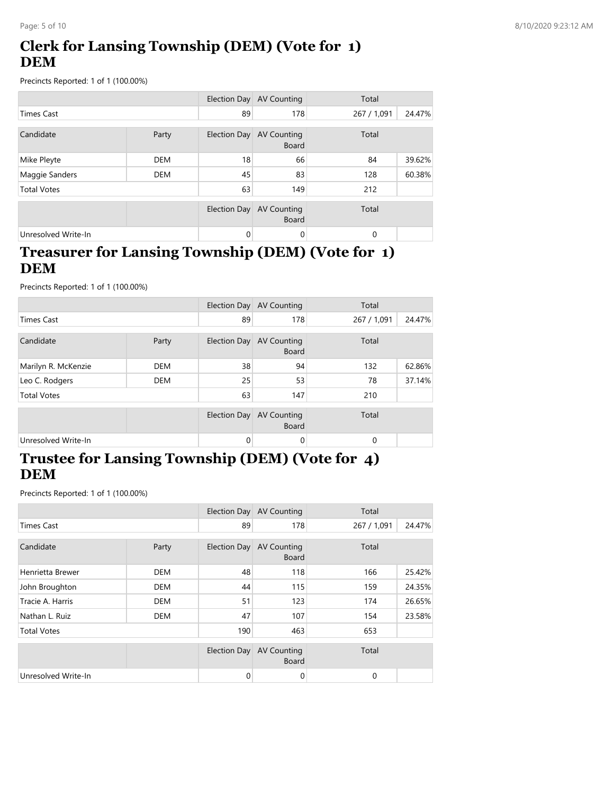# **Clerk for Lansing Township (DEM) (Vote for 1) DEM**

Precincts Reported: 1 of 1 (100.00%)

|                     |            |                     | Election Day AV Counting           | Total       |        |
|---------------------|------------|---------------------|------------------------------------|-------------|--------|
| <b>Times Cast</b>   |            | 89                  | 178                                | 267 / 1,091 | 24.47% |
| Candidate<br>Party  |            | Election Day        | AV Counting<br><b>Board</b>        | Total       |        |
| Mike Pleyte         | <b>DEM</b> | 18                  | 66                                 | 84          | 39.62% |
| Maggie Sanders      | <b>DEM</b> | 45                  | 83                                 | 128         | 60.38% |
| <b>Total Votes</b>  |            | 63                  | 149                                | 212         |        |
|                     |            | <b>Election Day</b> | <b>AV Counting</b><br><b>Board</b> | Total       |        |
| Unresolved Write-In |            | $\Omega$            | 0                                  | $\Omega$    |        |

### **Treasurer for Lansing Township (DEM) (Vote for 1) DEM**

Precincts Reported: 1 of 1 (100.00%)

|                     |            |          | Election Day AV Counting                 | Total       |        |
|---------------------|------------|----------|------------------------------------------|-------------|--------|
| <b>Times Cast</b>   |            | 89       | 178                                      | 267 / 1,091 | 24.47% |
| Candidate           | Party      |          | Election Day AV Counting<br><b>Board</b> | Total       |        |
| Marilyn R. McKenzie | <b>DEM</b> | 38       | 94                                       | 132         | 62.86% |
| Leo C. Rodgers      | <b>DEM</b> | 25       | 53                                       | 78          | 37.14% |
| <b>Total Votes</b>  |            | 63       | 147                                      | 210         |        |
|                     |            |          | Election Day AV Counting<br><b>Board</b> | Total       |        |
| Unresolved Write-In |            | $\Omega$ | 0                                        | $\Omega$    |        |

### **Trustee for Lansing Township (DEM) (Vote for 4) DEM**

|                     |            |                     | Election Day AV Counting           | Total        |        |
|---------------------|------------|---------------------|------------------------------------|--------------|--------|
| <b>Times Cast</b>   |            | 89                  | 178                                | 267 / 1,091  | 24.47% |
| Candidate           | Party      | <b>Election Day</b> | <b>AV Counting</b><br><b>Board</b> | Total        |        |
| Henrietta Brewer    | <b>DEM</b> | 48                  | 118                                | 166          | 25.42% |
| John Broughton      | <b>DEM</b> | 44                  | 115                                | 159          | 24.35% |
| Tracie A. Harris    | <b>DEM</b> | 51                  | 123                                | 174          | 26.65% |
| Nathan L. Ruiz      | <b>DEM</b> | 47                  | 107                                | 154          | 23.58% |
| <b>Total Votes</b>  |            | 190                 | 463                                | 653          |        |
|                     |            | Election Day        | <b>AV Counting</b><br><b>Board</b> | Total        |        |
| Unresolved Write-In |            | 0                   | 0                                  | $\mathbf{0}$ |        |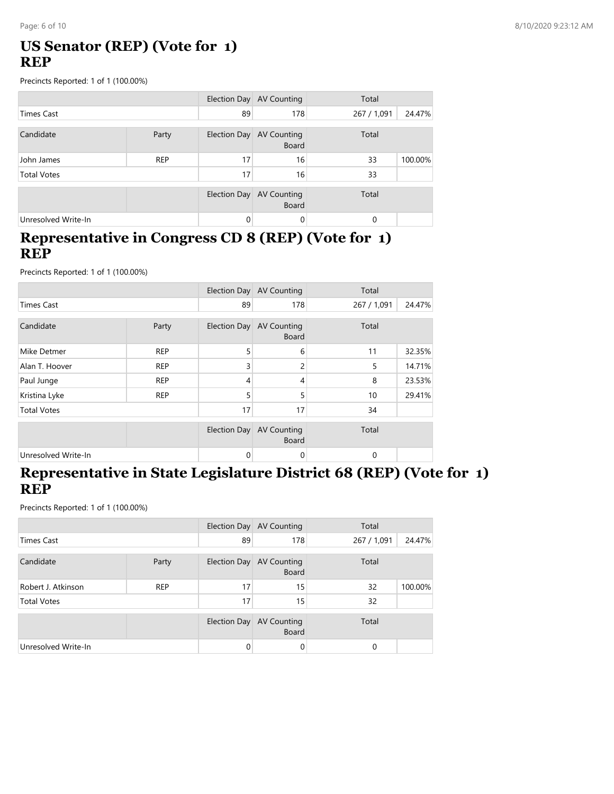### **US Senator (REP) (Vote for 1) REP**

Precincts Reported: 1 of 1 (100.00%)

|                     |            |              | Election Day AV Counting           | Total       |         |
|---------------------|------------|--------------|------------------------------------|-------------|---------|
| Times Cast          |            | 89           | 178                                | 267 / 1,091 | 24.47%  |
| Candidate           | Party      | Election Day | <b>AV Counting</b><br><b>Board</b> | Total       |         |
| John James          | <b>REP</b> | 17           | 16                                 | 33          | 100.00% |
| <b>Total Votes</b>  |            | 17           | 16                                 | 33          |         |
|                     |            | Election Day | AV Counting<br><b>Board</b>        | Total       |         |
| Unresolved Write-In |            | $\Omega$     | 0                                  | $\Omega$    |         |

#### **Representative in Congress CD 8 (REP) (Vote for 1) REP**

Precincts Reported: 1 of 1 (100.00%)

|                     |            |              | Election Day AV Counting           | Total       |        |
|---------------------|------------|--------------|------------------------------------|-------------|--------|
| <b>Times Cast</b>   |            | 89           | 178                                | 267 / 1,091 | 24.47% |
| Candidate           | Party      | Election Day | <b>AV Counting</b><br><b>Board</b> | Total       |        |
| Mike Detmer         | <b>REP</b> | 5            | 6                                  | 11          | 32.35% |
| Alan T. Hoover      | <b>REP</b> | 3            | $\overline{c}$                     | 5           | 14.71% |
| Paul Junge          | <b>REP</b> | 4            | 4                                  | 8           | 23.53% |
| Kristina Lyke       | <b>REP</b> | 5            | 5                                  | 10          | 29.41% |
| <b>Total Votes</b>  |            | 17           | 17                                 | 34          |        |
|                     |            | Election Day | <b>AV Counting</b><br><b>Board</b> | Total       |        |
| Unresolved Write-In |            | 0            | 0                                  | 0           |        |

#### **Representative in State Legislature District 68 (REP) (Vote for 1) REP**

|                     |            |              | Election Day AV Counting    | Total       |         |
|---------------------|------------|--------------|-----------------------------|-------------|---------|
| <b>Times Cast</b>   |            | 89           | 178                         | 267 / 1,091 | 24.47%  |
| Candidate           | Party      | Election Day | AV Counting<br><b>Board</b> | Total       |         |
| Robert J. Atkinson  | <b>REP</b> | 17           | 15                          | 32          | 100.00% |
| <b>Total Votes</b>  |            | 17           | 15                          | 32          |         |
|                     |            | Election Day | AV Counting<br><b>Board</b> | Total       |         |
| Unresolved Write-In |            | 0            | 0                           | 0           |         |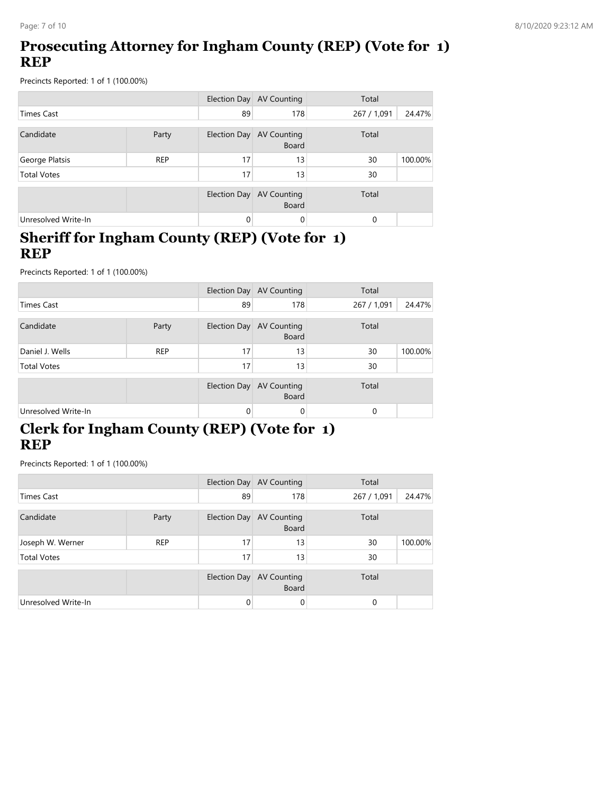# **Prosecuting Attorney for Ingham County (REP) (Vote for 1) REP**

Precincts Reported: 1 of 1 (100.00%)

|                     |            |              | Election Day AV Counting           | Total       |         |
|---------------------|------------|--------------|------------------------------------|-------------|---------|
| <b>Times Cast</b>   |            | 89           | 178                                | 267 / 1,091 | 24.47%  |
| Candidate           | Party      | Election Day | <b>AV Counting</b><br><b>Board</b> | Total       |         |
| George Platsis      | <b>REP</b> | 17           | 13                                 | 30          | 100.00% |
| <b>Total Votes</b>  |            | 17           | 13                                 | 30          |         |
|                     |            | Election Day | <b>AV Counting</b><br><b>Board</b> | Total       |         |
| Unresolved Write-In |            | 0            | 0                                  | $\Omega$    |         |

#### **Sheriff for Ingham County (REP) (Vote for 1) REP**

Precincts Reported: 1 of 1 (100.00%)

|                     |            |              | Election Day AV Counting                 | Total       |         |
|---------------------|------------|--------------|------------------------------------------|-------------|---------|
| <b>Times Cast</b>   |            | 89           | 178                                      | 267 / 1,091 | 24.47%  |
| Candidate           | Party      | Election Day | <b>AV Counting</b><br><b>Board</b>       | Total       |         |
| Daniel J. Wells     | <b>REP</b> | 17           | 13                                       | 30          | 100.00% |
| <b>Total Votes</b>  |            | 17           | 13                                       | 30          |         |
|                     |            |              | Election Day AV Counting<br><b>Board</b> | Total       |         |
| Unresolved Write-In |            | $\Omega$     | 0                                        | $\Omega$    |         |

# **Clerk for Ingham County (REP) (Vote for 1) REP**

|                     |            |          | Election Day AV Counting                 | Total       |         |
|---------------------|------------|----------|------------------------------------------|-------------|---------|
| <b>Times Cast</b>   |            | 89       | 178                                      | 267 / 1,091 | 24.47%  |
| Candidate           | Party      |          | Election Day AV Counting<br><b>Board</b> | Total       |         |
| Joseph W. Werner    | <b>REP</b> | 17       | 13                                       | 30          | 100.00% |
| <b>Total Votes</b>  |            | 17       | 13                                       | 30          |         |
|                     |            |          | Election Day AV Counting<br><b>Board</b> | Total       |         |
| Unresolved Write-In |            | $\Omega$ | 0                                        | $\Omega$    |         |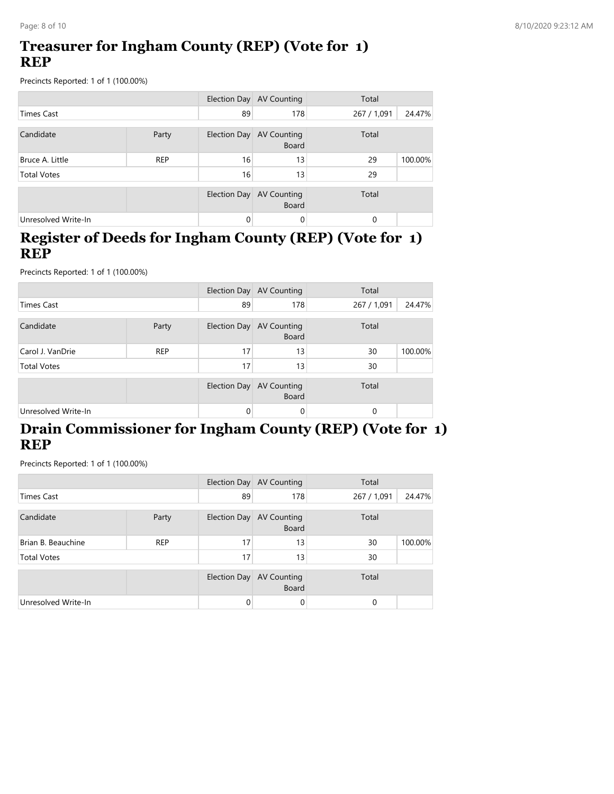### **Treasurer for Ingham County (REP) (Vote for 1) REP**

Precincts Reported: 1 of 1 (100.00%)

|                     |            |                     | Election Day AV Counting           | Total       |         |
|---------------------|------------|---------------------|------------------------------------|-------------|---------|
| <b>Times Cast</b>   |            | 89                  | 178                                | 267 / 1,091 | 24.47%  |
| Candidate           | Party      | <b>Election Day</b> | AV Counting<br>Board               | Total       |         |
| Bruce A. Little     | <b>REP</b> | 16                  | 13                                 | 29          | 100.00% |
| <b>Total Votes</b>  |            | 16                  | 13                                 | 29          |         |
|                     |            | Election Day        | <b>AV Counting</b><br><b>Board</b> | Total       |         |
| Unresolved Write-In |            | $\Omega$            | 0                                  | $\Omega$    |         |

#### **Register of Deeds for Ingham County (REP) (Vote for 1) REP**

Precincts Reported: 1 of 1 (100.00%)

|                     |            |              | Election Day AV Counting           | Total       |         |
|---------------------|------------|--------------|------------------------------------|-------------|---------|
| <b>Times Cast</b>   |            | 89           | 178                                | 267 / 1,091 | 24.47%  |
| Candidate           | Party      | Election Day | <b>AV Counting</b><br><b>Board</b> | Total       |         |
| Carol J. VanDrie    | <b>REP</b> | 17           | 13                                 | 30          | 100.00% |
| <b>Total Votes</b>  |            | 17           | 13                                 | 30          |         |
|                     |            | Election Day | <b>AV Counting</b><br><b>Board</b> | Total       |         |
| Unresolved Write-In |            | 0            | 0                                  | 0           |         |

### **Drain Commissioner for Ingham County (REP) (Vote for 1) REP**

|                     |            |              | Election Day AV Counting                 | Total       |         |
|---------------------|------------|--------------|------------------------------------------|-------------|---------|
| <b>Times Cast</b>   |            | 89           | 178                                      | 267 / 1,091 | 24.47%  |
| Candidate           | Party      |              | Election Day AV Counting<br><b>Board</b> | Total       |         |
| Brian B. Beauchine  | <b>REP</b> | 17           | 13                                       | 30          | 100.00% |
| <b>Total Votes</b>  |            | 17           | 13                                       | 30          |         |
|                     |            | Election Day | AV Counting<br><b>Board</b>              | Total       |         |
| Unresolved Write-In |            | $\Omega$     | 0                                        | 0           |         |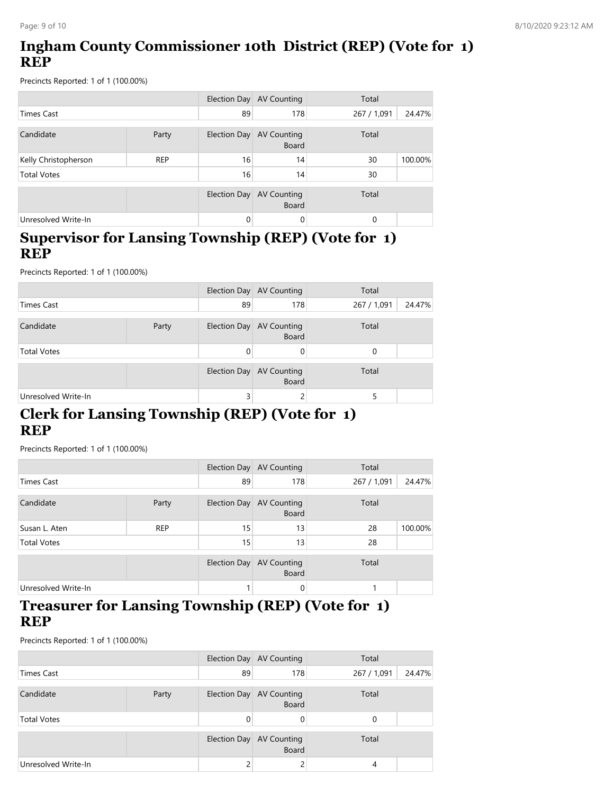# **Ingham County Commissioner 10th District (REP) (Vote for 1) REP**

Precincts Reported: 1 of 1 (100.00%)

|                      |            |              | Election Day AV Counting           | Total       |         |
|----------------------|------------|--------------|------------------------------------|-------------|---------|
| <b>Times Cast</b>    |            | 89           | 178                                | 267 / 1,091 | 24.47%  |
| Candidate            | Party      | Election Day | <b>AV Counting</b><br><b>Board</b> | Total       |         |
| Kelly Christopherson | <b>REP</b> | 16           | 14                                 | 30          | 100.00% |
| <b>Total Votes</b>   |            | 16           | 14                                 | 30          |         |
|                      |            | Election Day | <b>AV Counting</b><br><b>Board</b> | Total       |         |
| Unresolved Write-In  |            | 0            | 0                                  | 0           |         |

#### **Supervisor for Lansing Township (REP) (Vote for 1) REP**

Precincts Reported: 1 of 1 (100.00%)

|                     |       |          | Election Day AV Counting                 | Total                 |
|---------------------|-------|----------|------------------------------------------|-----------------------|
| <b>Times Cast</b>   |       | 89       | 178                                      | 24.47%<br>267 / 1,091 |
| Candidate           | Party |          | Election Day AV Counting<br><b>Board</b> | Total                 |
| <b>Total Votes</b>  |       | $\Omega$ | 0                                        | 0                     |
|                     |       |          | Election Day AV Counting<br><b>Board</b> | Total                 |
| Unresolved Write-In |       | 3        | ∠                                        |                       |

### **Clerk for Lansing Township (REP) (Vote for 1) REP**

Precincts Reported: 1 of 1 (100.00%)

|                     |            |                     | Election Day AV Counting                 | Total       |         |
|---------------------|------------|---------------------|------------------------------------------|-------------|---------|
| <b>Times Cast</b>   |            | 89                  | 178                                      | 267 / 1,091 | 24.47%  |
| Candidate           | Party      |                     | Election Day AV Counting<br><b>Board</b> | Total       |         |
| Susan L. Aten       | <b>REP</b> | 15                  | 13                                       | 28          | 100.00% |
| <b>Total Votes</b>  |            | 15                  | 13                                       | 28          |         |
|                     |            | <b>Election Day</b> | <b>AV Counting</b><br><b>Board</b>       | Total       |         |
| Unresolved Write-In |            |                     | 0                                        |             |         |

#### **Treasurer for Lansing Township (REP) (Vote for 1) REP**

|                     |       |          | Election Day AV Counting                 | Total                 |
|---------------------|-------|----------|------------------------------------------|-----------------------|
| Times Cast          |       | 89       | 178                                      | 24.47%<br>267 / 1,091 |
| Candidate           | Party |          | Election Day AV Counting<br><b>Board</b> | Total                 |
| <b>Total Votes</b>  |       | $\Omega$ | 0                                        | 0                     |
|                     |       |          | Election Day AV Counting<br><b>Board</b> | Total                 |
| Unresolved Write-In |       |          |                                          | 4                     |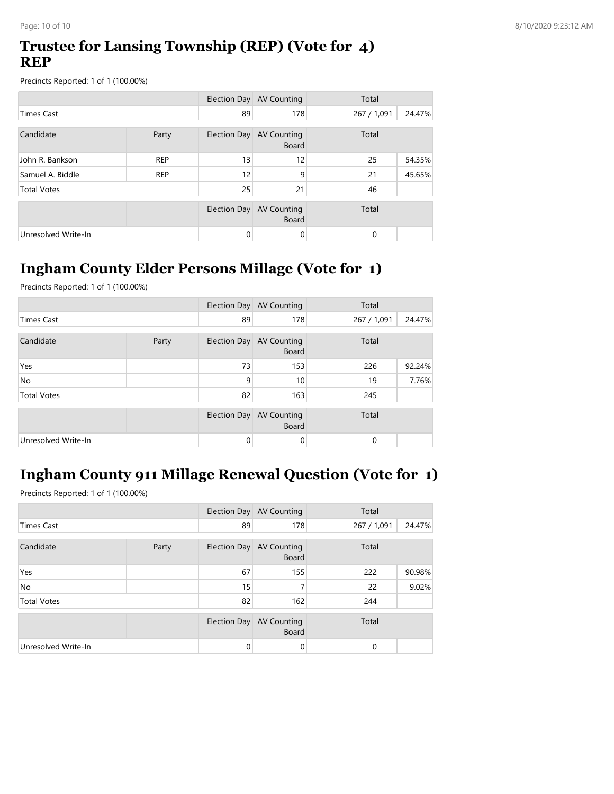### **Trustee for Lansing Township (REP) (Vote for 4) REP**

Precincts Reported: 1 of 1 (100.00%)

|                     |            |              | Election Day AV Counting           | Total       |        |
|---------------------|------------|--------------|------------------------------------|-------------|--------|
| <b>Times Cast</b>   |            | 89           | 178                                | 267 / 1,091 | 24.47% |
| Candidate           | Party      | Election Day | <b>AV Counting</b><br><b>Board</b> | Total       |        |
| John R. Bankson     | <b>REP</b> | 13           | 12                                 | 25          | 54.35% |
| Samuel A. Biddle    | <b>REP</b> | 12           | 9                                  | 21          | 45.65% |
| <b>Total Votes</b>  |            | 25           | 21                                 | 46          |        |
|                     |            | Election Day | <b>AV Counting</b><br><b>Board</b> | Total       |        |
| Unresolved Write-In |            | 0            | 0                                  | 0           |        |

# **Ingham County Elder Persons Millage (Vote for 1)**

Precincts Reported: 1 of 1 (100.00%)

|                     |  |          | Election Day AV Counting                 | Total       |        |
|---------------------|--|----------|------------------------------------------|-------------|--------|
| <b>Times Cast</b>   |  | 89       | 178                                      | 267 / 1,091 | 24.47% |
| Candidate<br>Party  |  |          | Election Day AV Counting<br><b>Board</b> | Total       |        |
| Yes                 |  | 73       | 153                                      | 226         | 92.24% |
| <b>No</b>           |  | 9        | 10                                       | 19          | 7.76%  |
| <b>Total Votes</b>  |  | 82       | 163                                      | 245         |        |
|                     |  |          | Election Day AV Counting<br><b>Board</b> | Total       |        |
| Unresolved Write-In |  | $\Omega$ | 0                                        | 0           |        |

# **Ingham County 911 Millage Renewal Question (Vote for 1)**

|                     |       |    | Election Day AV Counting                 | Total       |        |
|---------------------|-------|----|------------------------------------------|-------------|--------|
| <b>Times Cast</b>   |       | 89 | 178                                      | 267 / 1,091 | 24.47% |
| Candidate           | Party |    | Election Day AV Counting<br><b>Board</b> | Total       |        |
| Yes                 |       | 67 | 155                                      | 222         | 90.98% |
| <b>No</b>           |       | 15 | 7                                        | 22          | 9.02%  |
| <b>Total Votes</b>  |       | 82 | 162                                      | 244         |        |
|                     |       |    | Election Day AV Counting<br><b>Board</b> | Total       |        |
| Unresolved Write-In |       | 0  | 0                                        | 0           |        |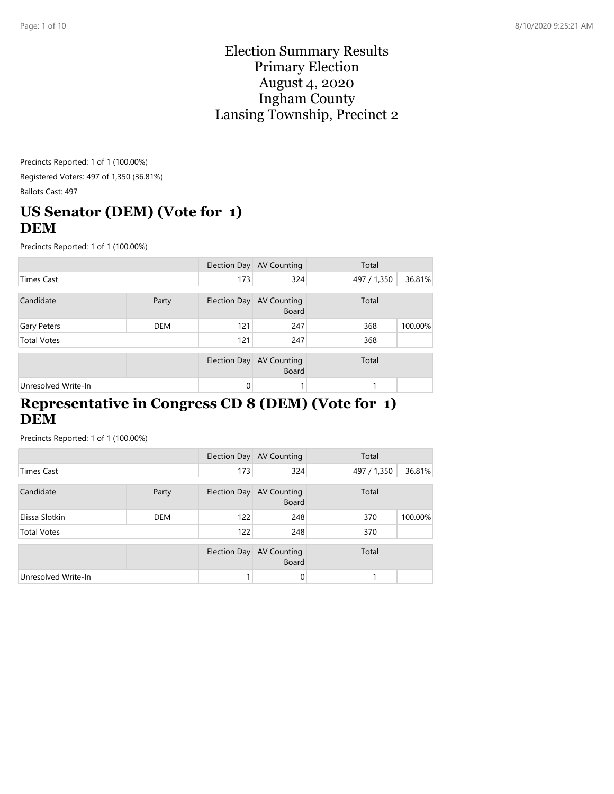#### Election Summary Results Primary Election August 4, 2020 Ingham County Lansing Township, Precinct 2

Precincts Reported: 1 of 1 (100.00%) Registered Voters: 497 of 1,350 (36.81%) Ballots Cast: 497

# **US Senator (DEM) (Vote for 1) DEM**

Precincts Reported: 1 of 1 (100.00%)

|                     |            |              | Election Day AV Counting                 | Total       |         |
|---------------------|------------|--------------|------------------------------------------|-------------|---------|
| <b>Times Cast</b>   |            | 173          | 324                                      | 497 / 1,350 | 36.81%  |
| Candidate           | Party      |              | Election Day AV Counting<br><b>Board</b> | Total       |         |
| Gary Peters         | <b>DEM</b> | 121          | 247                                      | 368         | 100.00% |
| <b>Total Votes</b>  |            | 121          | 247                                      | 368         |         |
|                     |            | Election Day | AV Counting<br><b>Board</b>              | Total       |         |
| Unresolved Write-In |            | $\Omega$     |                                          |             |         |

#### **Representative in Congress CD 8 (DEM) (Vote for 1) DEM**

|                     |            |              | Election Day AV Counting                 | Total       |         |
|---------------------|------------|--------------|------------------------------------------|-------------|---------|
| <b>Times Cast</b>   |            | 173          | 324                                      | 497 / 1,350 | 36.81%  |
| Candidate           | Party      |              | Election Day AV Counting<br><b>Board</b> | Total       |         |
| Elissa Slotkin      | <b>DEM</b> | 122          | 248                                      | 370         | 100.00% |
| <b>Total Votes</b>  |            | 122          | 248                                      | 370         |         |
|                     |            | Election Day | AV Counting<br><b>Board</b>              | Total       |         |
| Unresolved Write-In |            |              | $\Omega$                                 |             |         |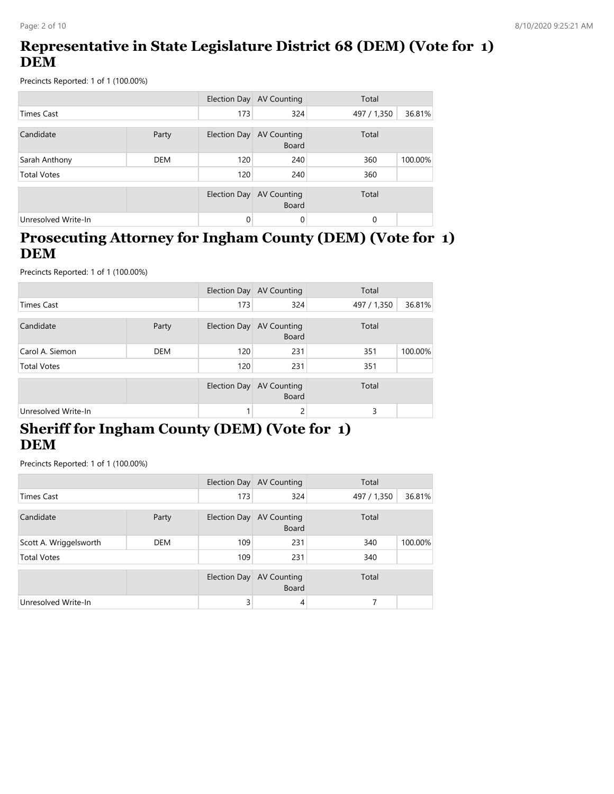## **Representative in State Legislature District 68 (DEM) (Vote for 1) DEM**

Precincts Reported: 1 of 1 (100.00%)

|                     |            |              | Election Day AV Counting           | Total       |         |
|---------------------|------------|--------------|------------------------------------|-------------|---------|
| <b>Times Cast</b>   |            | 173          | 324                                | 497 / 1,350 | 36.81%  |
| Candidate           | Party      | Election Day | AV Counting<br><b>Board</b>        | Total       |         |
| Sarah Anthony       | <b>DEM</b> | 120          | 240                                | 360         | 100.00% |
| <b>Total Votes</b>  |            | 120          | 240                                | 360         |         |
|                     |            | Election Day | <b>AV Counting</b><br><b>Board</b> | Total       |         |
| Unresolved Write-In |            | 0            | $\Omega$                           | 0           |         |

#### **Prosecuting Attorney for Ingham County (DEM) (Vote for 1) DEM**

Precincts Reported: 1 of 1 (100.00%)

|                     |            |              | Election Day AV Counting           | Total       |         |
|---------------------|------------|--------------|------------------------------------|-------------|---------|
| <b>Times Cast</b>   |            | 173          | 324                                | 497 / 1,350 | 36.81%  |
| Candidate           | Party      | Election Day | <b>AV Counting</b><br>Board        | Total       |         |
| Carol A. Siemon     | <b>DEM</b> | 120          | 231                                | 351         | 100.00% |
| <b>Total Votes</b>  |            | 120          | 231                                | 351         |         |
|                     |            | Election Day | <b>AV Counting</b><br><b>Board</b> | Total       |         |
| Unresolved Write-In |            |              | ے                                  | 3           |         |

### **Sheriff for Ingham County (DEM) (Vote for 1) DEM**

|                        |            |              | Election Day AV Counting                 | Total       |         |
|------------------------|------------|--------------|------------------------------------------|-------------|---------|
| <b>Times Cast</b>      |            | 173          | 324                                      | 497 / 1,350 | 36.81%  |
| Candidate<br>Party     |            |              | Election Day AV Counting<br><b>Board</b> | Total       |         |
| Scott A. Wriggelsworth | <b>DEM</b> | 109          | 231                                      | 340         | 100.00% |
| <b>Total Votes</b>     |            | 109          | 231                                      | 340         |         |
|                        |            | Election Day | <b>AV Counting</b><br><b>Board</b>       | Total       |         |
| Unresolved Write-In    |            | 3            | 4                                        |             |         |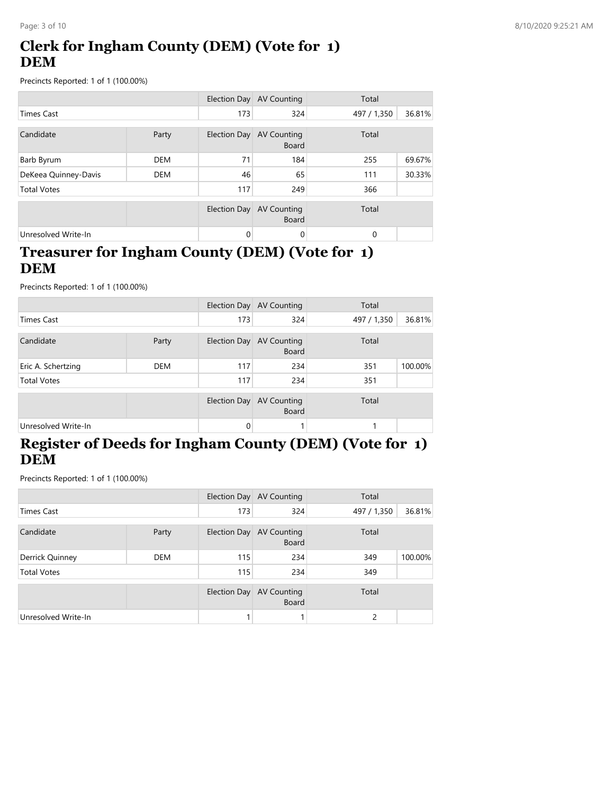# **Clerk for Ingham County (DEM) (Vote for 1) DEM**

Precincts Reported: 1 of 1 (100.00%)

|                      |            |              | Election Day AV Counting           | Total       |        |
|----------------------|------------|--------------|------------------------------------|-------------|--------|
| <b>Times Cast</b>    |            | 173          | 324                                | 497 / 1,350 | 36.81% |
| Candidate<br>Party   |            | Election Day | AV Counting<br><b>Board</b>        | Total       |        |
| Barb Byrum           | <b>DEM</b> | 71           | 184                                | 255         | 69.67% |
| DeKeea Quinney-Davis | <b>DEM</b> | 46           | 65                                 | 111         | 30.33% |
| <b>Total Votes</b>   |            | 117          | 249                                | 366         |        |
|                      |            | Election Day | <b>AV Counting</b><br><b>Board</b> | Total       |        |
| Unresolved Write-In  |            | $\Omega$     | 0                                  | $\Omega$    |        |

### **Treasurer for Ingham County (DEM) (Vote for 1) DEM**

Precincts Reported: 1 of 1 (100.00%)

|                     |            |     | Election Day AV Counting                 | Total       |         |
|---------------------|------------|-----|------------------------------------------|-------------|---------|
| <b>Times Cast</b>   |            | 173 | 324                                      | 497 / 1,350 | 36.81%  |
| Candidate           | Party      |     | Election Day AV Counting<br><b>Board</b> | Total       |         |
| Eric A. Schertzing  | <b>DEM</b> | 117 | 234                                      | 351         | 100.00% |
| <b>Total Votes</b>  |            | 117 | 234                                      | 351         |         |
|                     |            |     | Election Day AV Counting<br><b>Board</b> | Total       |         |
| Unresolved Write-In |            | 0   |                                          |             |         |

# **Register of Deeds for Ingham County (DEM) (Vote for 1) DEM**

|                     |            |              | Election Day AV Counting                 | Total       |         |
|---------------------|------------|--------------|------------------------------------------|-------------|---------|
| <b>Times Cast</b>   |            | 173          | 324                                      | 497 / 1,350 | 36.81%  |
| Candidate           | Party      |              | Election Day AV Counting<br><b>Board</b> | Total       |         |
| Derrick Quinney     | <b>DEM</b> | 115          | 234                                      | 349         | 100.00% |
| <b>Total Votes</b>  |            | 115          | 234                                      | 349         |         |
|                     |            | Election Day | <b>AV Counting</b><br><b>Board</b>       | Total       |         |
| Unresolved Write-In |            |              |                                          | 2           |         |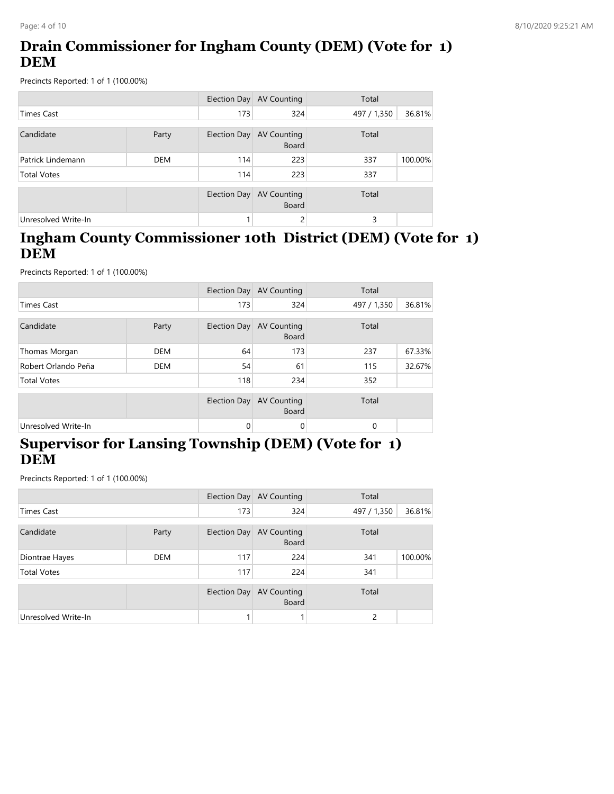# **Drain Commissioner for Ingham County (DEM) (Vote for 1) DEM**

Precincts Reported: 1 of 1 (100.00%)

|                     |            | <b>Election Day</b> | AV Counting                        | Total       |         |
|---------------------|------------|---------------------|------------------------------------|-------------|---------|
| <b>Times Cast</b>   |            | 173                 | 324                                | 497 / 1,350 | 36.81%  |
| Candidate           | Party      | Election Day        | AV Counting<br><b>Board</b>        | Total       |         |
| Patrick Lindemann   | <b>DEM</b> | 114                 | 223                                | 337         | 100.00% |
| <b>Total Votes</b>  |            | 114                 | 223                                | 337         |         |
|                     |            | <b>Election Day</b> | <b>AV Counting</b><br><b>Board</b> | Total       |         |
| Unresolved Write-In |            |                     | 2                                  | 3           |         |

### **Ingham County Commissioner 10th District (DEM) (Vote for 1) DEM**

Precincts Reported: 1 of 1 (100.00%)

|                     |            |              | Election Day AV Counting           | Total       |        |
|---------------------|------------|--------------|------------------------------------|-------------|--------|
| <b>Times Cast</b>   |            | 173          | 324                                | 497 / 1,350 | 36.81% |
| Candidate           | Party      | Election Day | <b>AV Counting</b><br><b>Board</b> | Total       |        |
| Thomas Morgan       | <b>DEM</b> | 64           | 173                                | 237         | 67.33% |
| Robert Orlando Peña | <b>DEM</b> | 54           | 61                                 | 115         | 32.67% |
| <b>Total Votes</b>  |            | 118          | 234                                | 352         |        |
|                     |            | Election Day | <b>AV Counting</b><br><b>Board</b> | Total       |        |
| Unresolved Write-In |            | 0            | 0                                  | $\Omega$    |        |

# **Supervisor for Lansing Township (DEM) (Vote for 1) DEM**

|                     |            |              | Election Day AV Counting                 | Total       |         |
|---------------------|------------|--------------|------------------------------------------|-------------|---------|
| <b>Times Cast</b>   |            | 173          | 324                                      | 497 / 1,350 | 36.81%  |
| Candidate           | Party      |              | Election Day AV Counting<br><b>Board</b> | Total       |         |
| Diontrae Hayes      | <b>DEM</b> | 117          | 224                                      | 341         | 100.00% |
| <b>Total Votes</b>  |            | 117          | 224                                      | 341         |         |
|                     |            | Election Day | AV Counting<br><b>Board</b>              | Total       |         |
| Unresolved Write-In |            |              |                                          | 2           |         |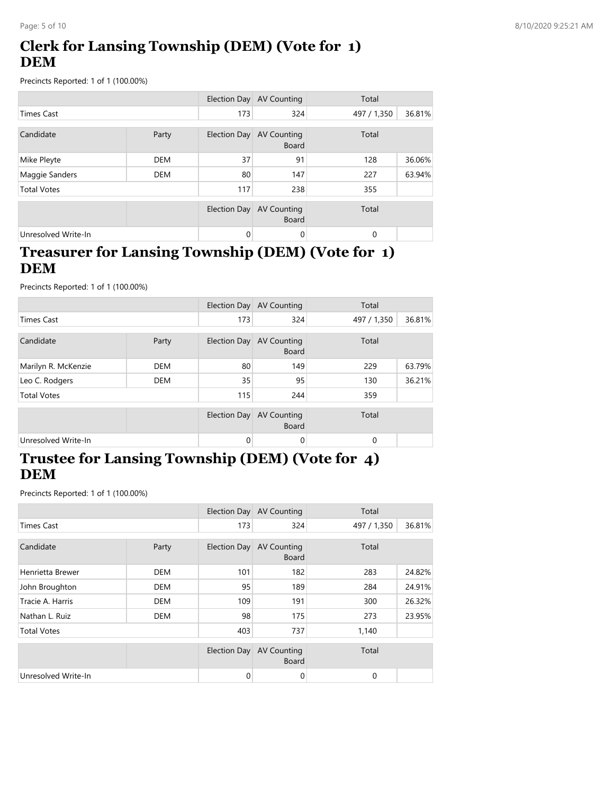# **Clerk for Lansing Township (DEM) (Vote for 1) DEM**

Precincts Reported: 1 of 1 (100.00%)

|                     |            |                     | Election Day AV Counting           | Total       |        |
|---------------------|------------|---------------------|------------------------------------|-------------|--------|
| <b>Times Cast</b>   |            | 173                 | 324                                | 497 / 1,350 | 36.81% |
| Candidate           | Party      | Election Day        | AV Counting<br><b>Board</b>        | Total       |        |
| Mike Pleyte         | <b>DEM</b> | 37                  | 91                                 | 128         | 36.06% |
| Maggie Sanders      | <b>DEM</b> | 80                  | 147                                | 227         | 63.94% |
| <b>Total Votes</b>  |            | 117                 | 238                                | 355         |        |
|                     |            | <b>Election Day</b> | <b>AV Counting</b><br><b>Board</b> | Total       |        |
| Unresolved Write-In |            | $\Omega$            | 0                                  | $\Omega$    |        |

### **Treasurer for Lansing Township (DEM) (Vote for 1) DEM**

Precincts Reported: 1 of 1 (100.00%)

|                     |            |              | Election Day AV Counting                 | Total       |        |
|---------------------|------------|--------------|------------------------------------------|-------------|--------|
| <b>Times Cast</b>   |            | 173          | 324                                      | 497 / 1,350 | 36.81% |
| Candidate           | Party      |              | Election Day AV Counting<br><b>Board</b> | Total       |        |
| Marilyn R. McKenzie | <b>DEM</b> | 80           | 149                                      | 229         | 63.79% |
| Leo C. Rodgers      | <b>DEM</b> | 35           | 95                                       | 130         | 36.21% |
| <b>Total Votes</b>  |            | 115          | 244                                      | 359         |        |
|                     |            | Election Day | <b>AV Counting</b><br><b>Board</b>       | Total       |        |
| Unresolved Write-In |            | $\Omega$     | 0                                        | $\Omega$    |        |

### **Trustee for Lansing Township (DEM) (Vote for 4) DEM**

|                     |            |              | Election Day AV Counting           | Total        |        |
|---------------------|------------|--------------|------------------------------------|--------------|--------|
| <b>Times Cast</b>   |            | 173          | 324                                | 497 / 1,350  | 36.81% |
|                     |            |              |                                    |              |        |
| Candidate           | Party      | Election Day | <b>AV Counting</b><br><b>Board</b> | Total        |        |
| Henrietta Brewer    | <b>DEM</b> | 101          | 182                                | 283          | 24.82% |
| John Broughton      | DEM        | 95           | 189                                | 284          | 24.91% |
| Tracie A. Harris    | <b>DEM</b> | 109          | 191                                | 300          | 26.32% |
| Nathan L. Ruiz      | <b>DEM</b> | 98           | 175                                | 273          | 23.95% |
| <b>Total Votes</b>  |            | 403          | 737                                | 1,140        |        |
|                     |            | Election Day | <b>AV Counting</b><br><b>Board</b> | Total        |        |
| Unresolved Write-In |            | $\mathbf{0}$ | 0                                  | $\mathbf{0}$ |        |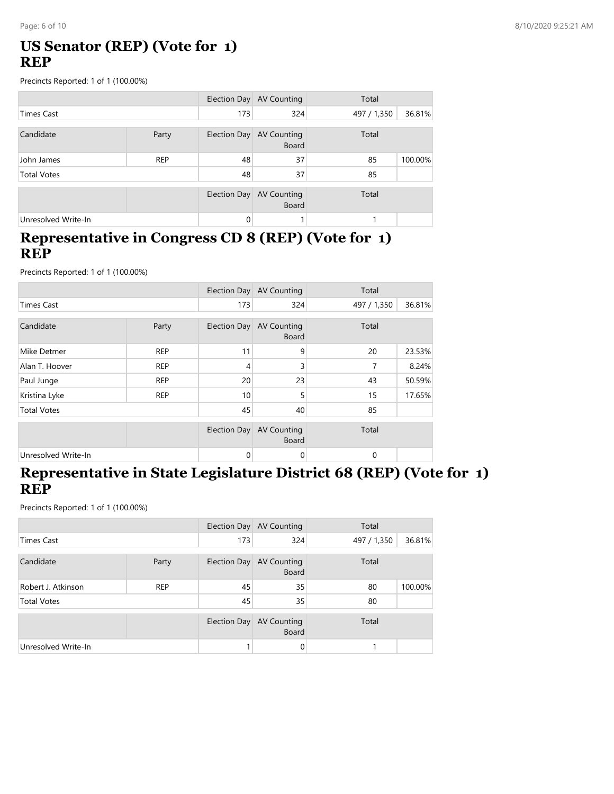### **US Senator (REP) (Vote for 1) REP**

Precincts Reported: 1 of 1 (100.00%)

|                     |            |              | Election Day AV Counting                 | Total       |         |
|---------------------|------------|--------------|------------------------------------------|-------------|---------|
| <b>Times Cast</b>   |            | 173          | 324                                      | 497 / 1,350 | 36.81%  |
| Candidate           | Party      |              | Election Day AV Counting<br><b>Board</b> | Total       |         |
| John James          | <b>REP</b> | 48           | 37                                       | 85          | 100.00% |
| <b>Total Votes</b>  |            | 48           | 37                                       | 85          |         |
|                     |            | Election Day | AV Counting<br><b>Board</b>              | Total       |         |
| Unresolved Write-In |            | $\Omega$     |                                          |             |         |

#### **Representative in Congress CD 8 (REP) (Vote for 1) REP**

Precincts Reported: 1 of 1 (100.00%)

|                     |            |                | Election Day AV Counting           | Total       |        |
|---------------------|------------|----------------|------------------------------------|-------------|--------|
| <b>Times Cast</b>   |            | 173            | 324                                | 497 / 1,350 | 36.81% |
| Candidate           | Party      | Election Day   | <b>AV Counting</b><br><b>Board</b> | Total       |        |
| Mike Detmer         | <b>REP</b> | 11             | 9                                  | 20          | 23.53% |
| Alan T. Hoover      | <b>REP</b> | $\overline{4}$ | 3                                  | 7           | 8.24%  |
| Paul Junge          | <b>REP</b> | 20             | 23                                 | 43          | 50.59% |
| Kristina Lyke       | <b>REP</b> | 10             | 5                                  | 15          | 17.65% |
| <b>Total Votes</b>  |            | 45             | 40                                 | 85          |        |
|                     |            | Election Day   | <b>AV Counting</b><br><b>Board</b> | Total       |        |
| Unresolved Write-In |            | $\Omega$       | 0                                  | 0           |        |

#### **Representative in State Legislature District 68 (REP) (Vote for 1) REP**

|                     |            |              | Election Day AV Counting           | Total       |         |
|---------------------|------------|--------------|------------------------------------|-------------|---------|
| <b>Times Cast</b>   |            | 173          | 324                                | 497 / 1,350 | 36.81%  |
| Candidate           | Party      | Election Day | <b>AV Counting</b><br><b>Board</b> | Total       |         |
| Robert J. Atkinson  | <b>REP</b> | 45           | 35                                 | 80          | 100.00% |
| <b>Total Votes</b>  |            | 45           | 35                                 | 80          |         |
|                     |            | Election Day | AV Counting<br><b>Board</b>        | Total       |         |
| Unresolved Write-In |            |              | $\mathbf 0$                        |             |         |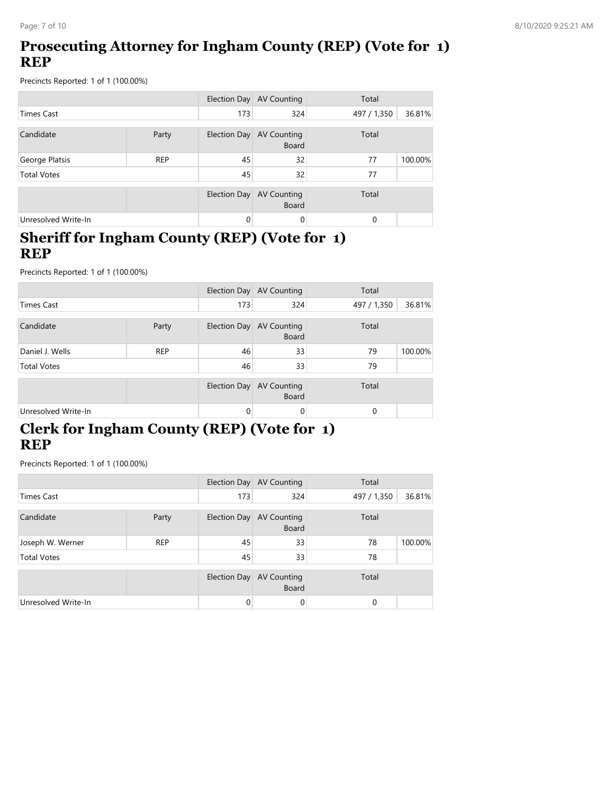# **Prosecuting Attorney for Ingham County (REP) (Vote for 1) REP**

Precincts Reported: 1 of 1 (100.00%)

|                     |            |              | Election Day AV Counting    | Total       |         |
|---------------------|------------|--------------|-----------------------------|-------------|---------|
| <b>Times Cast</b>   |            | 173          | 324                         | 497 / 1,350 | 36.81%  |
| Candidate           | Party      | Election Day | AV Counting<br><b>Board</b> | Total       |         |
| George Platsis      | <b>REP</b> | 45           | 32                          | 77          | 100.00% |
| <b>Total Votes</b>  |            | 45           | 32                          | 77          |         |
|                     |            | Election Day | AV Counting<br><b>Board</b> | Total       |         |
| Unresolved Write-In |            | $\mathbf{0}$ | 0                           | $\Omega$    |         |

#### **Sheriff for Ingham County (REP) (Vote for 1) REP**

Precincts Reported: 1 of 1 (100.00%)

|                     |            |                                                      | Election Day AV Counting                 | Total       |         |
|---------------------|------------|------------------------------------------------------|------------------------------------------|-------------|---------|
| <b>Times Cast</b>   |            | 173                                                  | 324                                      | 497 / 1,350 | 36.81%  |
| Candidate           | Party      | Total<br>Election Day<br>AV Counting<br><b>Board</b> |                                          |             |         |
| Daniel J. Wells     | <b>REP</b> | 46                                                   | 33                                       | 79          | 100.00% |
| <b>Total Votes</b>  |            | 46                                                   | 33                                       | 79          |         |
|                     |            |                                                      | Election Day AV Counting<br><b>Board</b> | Total       |         |
| Unresolved Write-In |            | $\Omega$                                             | 0                                        | $\Omega$    |         |

# **Clerk for Ingham County (REP) (Vote for 1) REP**

|                     |            |              | Election Day AV Counting                 | Total       |         |
|---------------------|------------|--------------|------------------------------------------|-------------|---------|
| <b>Times Cast</b>   |            | 173          | 324                                      | 497 / 1,350 | 36.81%  |
| Candidate           | Party      |              | Election Day AV Counting<br><b>Board</b> | Total       |         |
| Joseph W. Werner    | <b>REP</b> | 45           | 33                                       | 78          | 100.00% |
| <b>Total Votes</b>  |            | 45           | 33                                       | 78          |         |
|                     |            | Election Day | AV Counting<br><b>Board</b>              | Total       |         |
| Unresolved Write-In |            | $\Omega$     | 0                                        | $\Omega$    |         |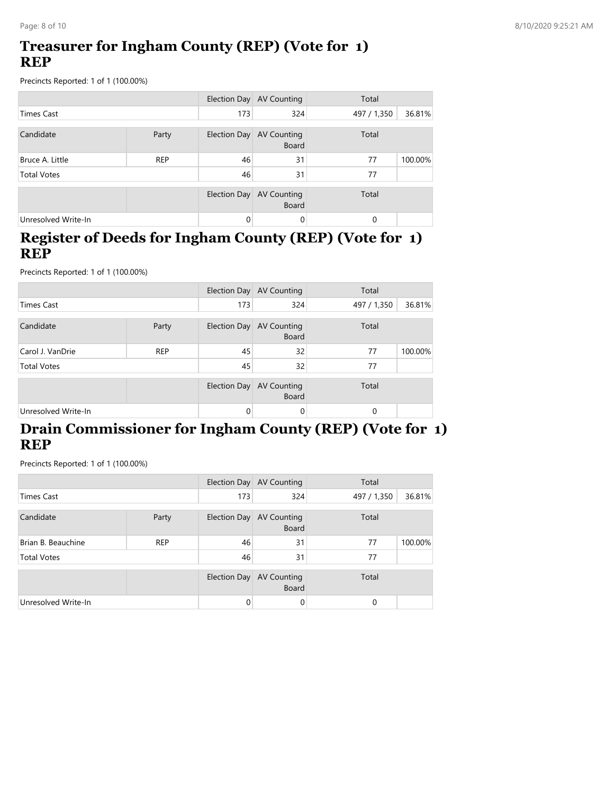### **Treasurer for Ingham County (REP) (Vote for 1) REP**

Precincts Reported: 1 of 1 (100.00%)

|                     |            |              | Election Day AV Counting                 | Total       |         |
|---------------------|------------|--------------|------------------------------------------|-------------|---------|
| <b>Times Cast</b>   |            | 173          | 324                                      | 497 / 1,350 | 36.81%  |
| Candidate           | Party      |              | Election Day AV Counting<br><b>Board</b> | Total       |         |
| Bruce A. Little     | <b>REP</b> | 46           | 31                                       | 77          | 100.00% |
| <b>Total Votes</b>  |            | 46           | 31                                       | 77          |         |
|                     |            | Election Day | AV Counting<br><b>Board</b>              | Total       |         |
| Unresolved Write-In |            | $\Omega$     | $\Omega$                                 | $\Omega$    |         |

#### **Register of Deeds for Ingham County (REP) (Vote for 1) REP**

Precincts Reported: 1 of 1 (100.00%)

|                     |            |              | Election Day AV Counting                 | Total       |         |
|---------------------|------------|--------------|------------------------------------------|-------------|---------|
| <b>Times Cast</b>   |            | 173          | 324                                      | 497 / 1,350 | 36.81%  |
| Candidate           | Party      |              | Election Day AV Counting<br><b>Board</b> | Total       |         |
| Carol J. VanDrie    | <b>REP</b> | 45           | 32                                       | 77          | 100.00% |
| <b>Total Votes</b>  |            | 45           | 32                                       | 77          |         |
|                     |            | Election Day | <b>AV Counting</b><br><b>Board</b>       | Total       |         |
| Unresolved Write-In |            | 0            | 0                                        | 0           |         |

### **Drain Commissioner for Ingham County (REP) (Vote for 1) REP**

|                     |                                                   |              | Election Day AV Counting    | Total       |         |
|---------------------|---------------------------------------------------|--------------|-----------------------------|-------------|---------|
| <b>Times Cast</b>   |                                                   | 173          | 324                         | 497 / 1,350 | 36.81%  |
| Candidate           | Election Day AV Counting<br>Party<br><b>Board</b> |              | Total                       |             |         |
| Brian B. Beauchine  | <b>REP</b>                                        | 46           | 31                          | 77          | 100.00% |
| <b>Total Votes</b>  |                                                   | 46           | 31                          | 77          |         |
|                     |                                                   | Election Day | AV Counting<br><b>Board</b> | Total       |         |
| Unresolved Write-In |                                                   | $\Omega$     | 0                           | 0           |         |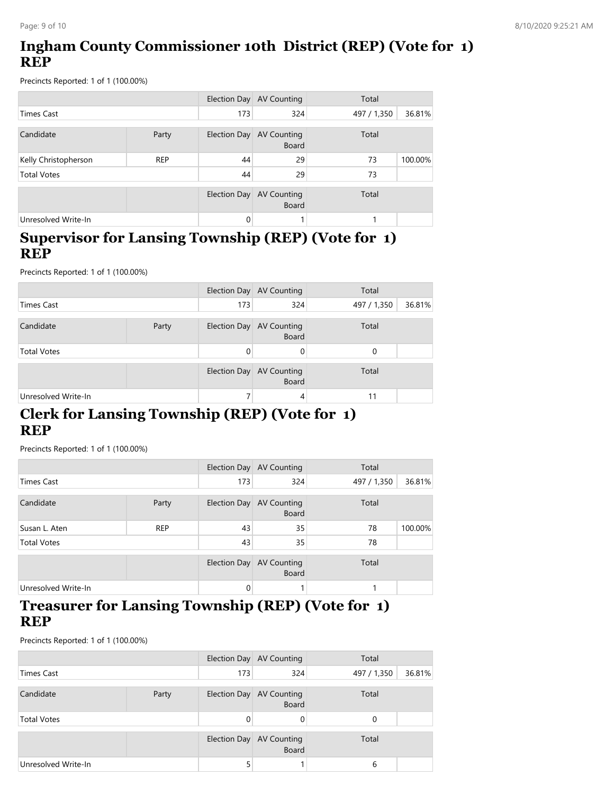# **Ingham County Commissioner 10th District (REP) (Vote for 1) REP**

Precincts Reported: 1 of 1 (100.00%)

|                      |            |              | Election Day AV Counting           | Total       |         |
|----------------------|------------|--------------|------------------------------------|-------------|---------|
| <b>Times Cast</b>    |            | 173          | 324                                | 497 / 1,350 | 36.81%  |
| Candidate            | Party      | Election Day | <b>AV Counting</b><br><b>Board</b> | Total       |         |
| Kelly Christopherson | <b>REP</b> | 44           | 29                                 | 73          | 100.00% |
| <b>Total Votes</b>   |            | 44           | 29                                 | 73          |         |
|                      |            | Election Day | <b>AV Counting</b><br><b>Board</b> | Total       |         |
| Unresolved Write-In  |            | 0            |                                    |             |         |

#### **Supervisor for Lansing Township (REP) (Vote for 1) REP**

Precincts Reported: 1 of 1 (100.00%)

|                     |       |     | Election Day AV Counting                 | Total       |        |
|---------------------|-------|-----|------------------------------------------|-------------|--------|
| Times Cast          |       | 173 | 324                                      | 497 / 1,350 | 36.81% |
| Candidate           | Party |     | Election Day AV Counting<br><b>Board</b> | Total       |        |
| <b>Total Votes</b>  |       | 0   | 0                                        | $\Omega$    |        |
|                     |       |     | Election Day AV Counting<br><b>Board</b> | Total       |        |
| Unresolved Write-In |       |     | 4                                        | 11          |        |

### **Clerk for Lansing Township (REP) (Vote for 1) REP**

Precincts Reported: 1 of 1 (100.00%)

|                     |            |          | Election Day AV Counting                 | Total       |         |
|---------------------|------------|----------|------------------------------------------|-------------|---------|
| <b>Times Cast</b>   |            | 173      | 324                                      | 497 / 1,350 | 36.81%  |
| Candidate           | Party      |          | Election Day AV Counting<br><b>Board</b> | Total       |         |
| Susan L. Aten       | <b>REP</b> | 43       | 35                                       | 78          | 100.00% |
| <b>Total Votes</b>  |            | 43       | 35                                       | 78          |         |
|                     |            |          | Election Day AV Counting<br><b>Board</b> | Total       |         |
| Unresolved Write-In |            | $\Omega$ |                                          |             |         |

#### **Treasurer for Lansing Township (REP) (Vote for 1) REP**

|                     |       | Election Day | AV Counting                        | Total                 |
|---------------------|-------|--------------|------------------------------------|-----------------------|
| Times Cast          |       | 173          | 324                                | 36.81%<br>497 / 1,350 |
| Candidate           | Party | Election Day | AV Counting<br><b>Board</b>        | Total                 |
| <b>Total Votes</b>  |       | 0            |                                    | $\Omega$              |
|                     |       | Election Day | <b>AV Counting</b><br><b>Board</b> | Total                 |
| Unresolved Write-In |       |              |                                    | 6                     |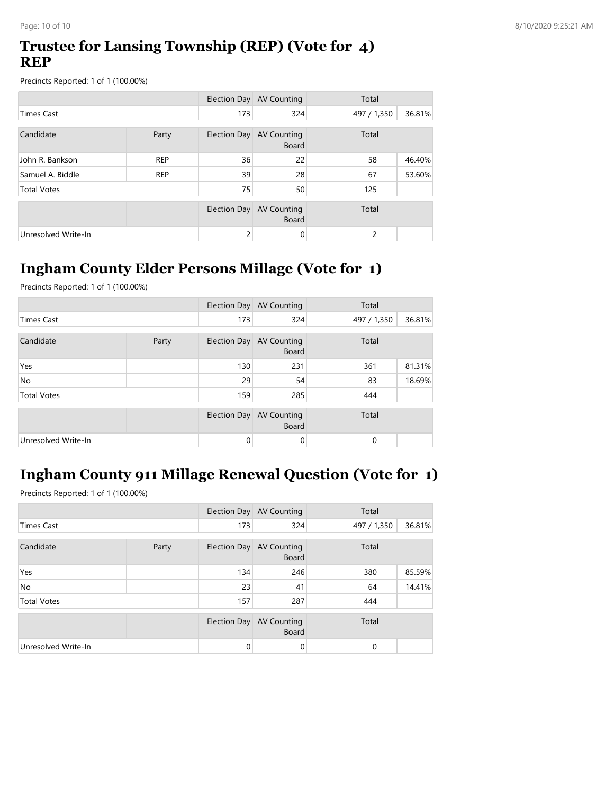### **Trustee for Lansing Township (REP) (Vote for 4) REP**

Precincts Reported: 1 of 1 (100.00%)

|                     |            |                | Election Day AV Counting           | Total       |        |
|---------------------|------------|----------------|------------------------------------|-------------|--------|
| <b>Times Cast</b>   |            | 173            | 324                                | 497 / 1,350 | 36.81% |
| Candidate           | Party      | Election Day   | <b>AV Counting</b>                 | Total       |        |
|                     |            |                | <b>Board</b>                       |             |        |
| John R. Bankson     | <b>REP</b> | 36             | 22                                 | 58          | 46.40% |
| Samuel A. Biddle    | <b>REP</b> | 39             | 28                                 | 67          | 53.60% |
| <b>Total Votes</b>  |            | 75             | 50                                 | 125         |        |
|                     |            |                |                                    | Total       |        |
|                     |            | Election Day   | <b>AV Counting</b><br><b>Board</b> |             |        |
| Unresolved Write-In |            | $\overline{c}$ | 0                                  | 2           |        |

# **Ingham County Elder Persons Millage (Vote for 1)**

Precincts Reported: 1 of 1 (100.00%)

|                     |       |          | Election Day AV Counting                 | Total       |        |
|---------------------|-------|----------|------------------------------------------|-------------|--------|
| <b>Times Cast</b>   |       | 173      | 324                                      | 497 / 1,350 | 36.81% |
| Candidate           | Party |          | Election Day AV Counting<br><b>Board</b> | Total       |        |
| Yes                 |       | 130      | 231                                      | 361         | 81.31% |
| <b>No</b>           |       | 29       | 54                                       | 83          | 18.69% |
| <b>Total Votes</b>  |       | 159      | 285                                      | 444         |        |
|                     |       |          | Election Day AV Counting<br><b>Board</b> | Total       |        |
| Unresolved Write-In |       | $\Omega$ | 0                                        | 0           |        |

# **Ingham County 911 Millage Renewal Question (Vote for 1)**

|                     |       |     | Election Day AV Counting                 | Total       |        |
|---------------------|-------|-----|------------------------------------------|-------------|--------|
| <b>Times Cast</b>   |       | 173 | 324                                      | 497 / 1,350 | 36.81% |
| Candidate           | Party |     | Election Day AV Counting<br><b>Board</b> | Total       |        |
| Yes                 |       | 134 | 246                                      | 380         | 85.59% |
| <b>No</b>           |       | 23  | 41                                       | 64          | 14.41% |
| <b>Total Votes</b>  |       | 157 | 287                                      | 444         |        |
|                     |       |     | Election Day AV Counting<br><b>Board</b> | Total       |        |
| Unresolved Write-In |       | 0   | 0                                        | 0           |        |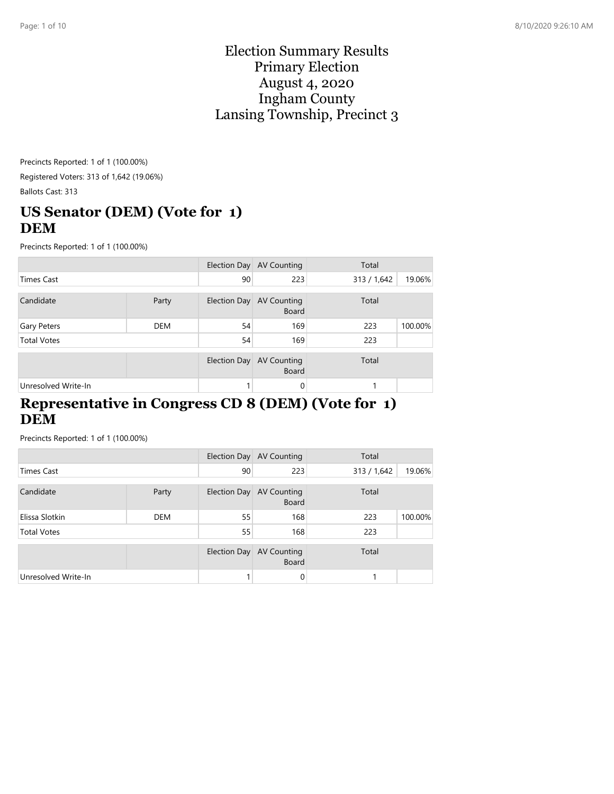#### Election Summary Results Primary Election August 4, 2020 Ingham County Lansing Township, Precinct 3

Precincts Reported: 1 of 1 (100.00%) Registered Voters: 313 of 1,642 (19.06%) Ballots Cast: 313

### **US Senator (DEM) (Vote for 1) DEM**

Precincts Reported: 1 of 1 (100.00%)

|                     |       |              | Election Day AV Counting                 | Total       |         |
|---------------------|-------|--------------|------------------------------------------|-------------|---------|
| <b>Times Cast</b>   |       | 90           | 223                                      | 313 / 1,642 | 19.06%  |
| Candidate           | Party |              | Election Day AV Counting<br><b>Board</b> | Total       |         |
| Gary Peters         | DEM   | 54           | 169                                      | 223         | 100.00% |
| <b>Total Votes</b>  |       | 54           | 169                                      | 223         |         |
|                     |       | Election Day | <b>AV Counting</b><br><b>Board</b>       | Total       |         |
| Unresolved Write-In |       |              | 0                                        |             |         |

#### **Representative in Congress CD 8 (DEM) (Vote for 1) DEM**

|                     |       |    | Election Day AV Counting                 | Total       |         |
|---------------------|-------|----|------------------------------------------|-------------|---------|
| <b>Times Cast</b>   |       | 90 | 223                                      | 313 / 1,642 | 19.06%  |
| Candidate           | Party |    | Election Day AV Counting<br><b>Board</b> | Total       |         |
| Elissa Slotkin      | DEM   | 55 | 168                                      | 223         | 100.00% |
| <b>Total Votes</b>  |       | 55 | 168                                      | 223         |         |
|                     |       |    | Election Day AV Counting<br><b>Board</b> | Total       |         |
| Unresolved Write-In |       |    | 0                                        |             |         |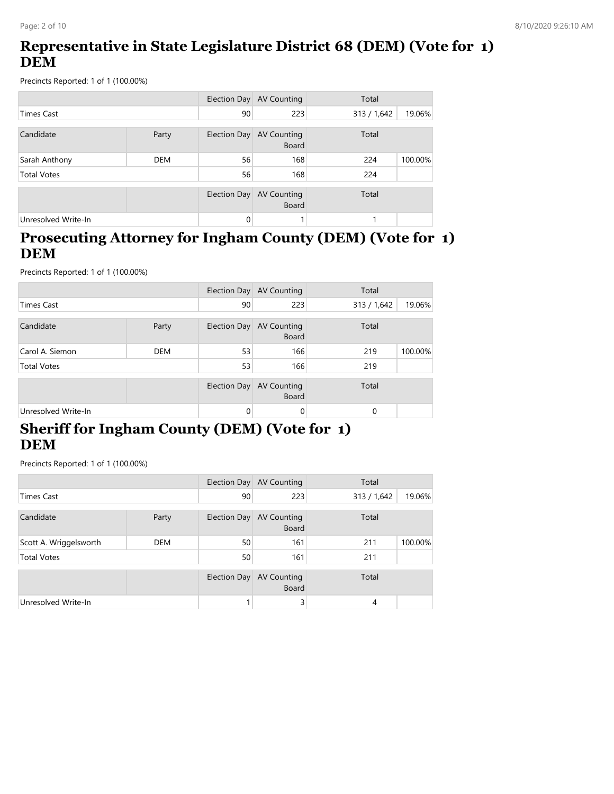# **Representative in State Legislature District 68 (DEM) (Vote for 1) DEM**

Precincts Reported: 1 of 1 (100.00%)

|                     |            |              | Election Day AV Counting           | Total       |         |
|---------------------|------------|--------------|------------------------------------|-------------|---------|
| <b>Times Cast</b>   |            | 90           | 223                                | 313 / 1,642 | 19.06%  |
| Candidate           | Party      | Election Day | AV Counting<br><b>Board</b>        | Total       |         |
| Sarah Anthony       | <b>DEM</b> | 56           | 168                                | 224         | 100.00% |
| <b>Total Votes</b>  |            | 56           | 168                                | 224         |         |
|                     |            | Election Day | <b>AV Counting</b><br><b>Board</b> | Total       |         |
| Unresolved Write-In |            | 0            |                                    |             |         |

#### **Prosecuting Attorney for Ingham County (DEM) (Vote for 1) DEM**

Precincts Reported: 1 of 1 (100.00%)

|                     |            |              | Election Day AV Counting           | Total       |         |
|---------------------|------------|--------------|------------------------------------|-------------|---------|
| <b>Times Cast</b>   |            | 90           | 223                                | 313 / 1,642 | 19.06%  |
| Candidate           | Party      | Election Day | <b>AV Counting</b><br>Board        | Total       |         |
| Carol A. Siemon     | <b>DEM</b> | 53           | 166                                | 219         | 100.00% |
| <b>Total Votes</b>  |            | 53           | 166                                | 219         |         |
|                     |            | Election Day | <b>AV Counting</b><br><b>Board</b> | Total       |         |
| Unresolved Write-In |            | 0            | 0                                  | $\Omega$    |         |

### **Sheriff for Ingham County (DEM) (Vote for 1) DEM**

|                        |            |              | Election Day AV Counting                 | Total       |         |
|------------------------|------------|--------------|------------------------------------------|-------------|---------|
| <b>Times Cast</b>      |            | 90           | 223                                      | 313 / 1,642 | 19.06%  |
| Candidate              | Party      |              | Election Day AV Counting<br><b>Board</b> | Total       |         |
| Scott A. Wriggelsworth | <b>DEM</b> | 50           | 161                                      | 211         | 100.00% |
| <b>Total Votes</b>     |            | 50           | 161                                      | 211         |         |
|                        |            | Election Day | <b>AV Counting</b><br><b>Board</b>       | Total       |         |
| Unresolved Write-In    |            |              | 3                                        | 4           |         |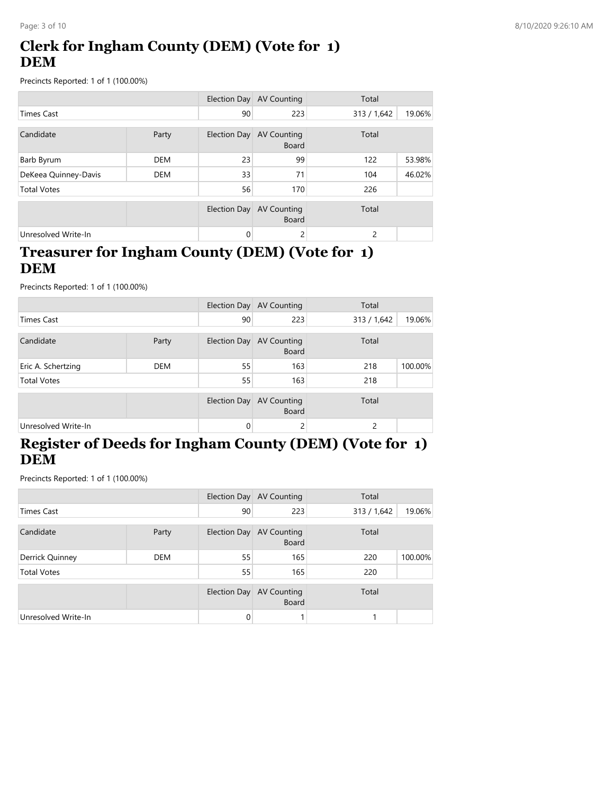# **Clerk for Ingham County (DEM) (Vote for 1) DEM**

Precincts Reported: 1 of 1 (100.00%)

|                      |            |              | Election Day AV Counting           | Total       |        |
|----------------------|------------|--------------|------------------------------------|-------------|--------|
| <b>Times Cast</b>    |            | 90           | 223                                | 313 / 1,642 | 19.06% |
| Candidate            | Party      | Election Day | <b>AV Counting</b><br><b>Board</b> | Total       |        |
| Barb Byrum           | <b>DEM</b> | 23           | 99                                 | 122         | 53.98% |
| DeKeea Quinney-Davis | <b>DEM</b> | 33           | 71                                 | 104         | 46.02% |
| <b>Total Votes</b>   |            | 56           | 170                                | 226         |        |
|                      |            | Election Day | <b>AV Counting</b><br><b>Board</b> | Total       |        |
| Unresolved Write-In  |            | 0            | 2                                  | 2           |        |

### **Treasurer for Ingham County (DEM) (Vote for 1) DEM**

Precincts Reported: 1 of 1 (100.00%)

|                     |            |    | Election Day AV Counting                 | Total         |         |
|---------------------|------------|----|------------------------------------------|---------------|---------|
| <b>Times Cast</b>   |            | 90 | 223                                      | 313 / 1,642   | 19.06%  |
| Candidate           | Party      |    | Election Day AV Counting<br><b>Board</b> | Total         |         |
| Eric A. Schertzing  | <b>DEM</b> | 55 | 163                                      | 218           | 100.00% |
| <b>Total Votes</b>  |            | 55 | 163                                      | 218           |         |
|                     |            |    | Election Day AV Counting<br><b>Board</b> | Total         |         |
| Unresolved Write-In |            | 0  | 2                                        | $\mathcal{P}$ |         |

# **Register of Deeds for Ingham County (DEM) (Vote for 1) DEM**

|                     |            |              | Election Day AV Counting                 | Total       |         |
|---------------------|------------|--------------|------------------------------------------|-------------|---------|
| <b>Times Cast</b>   |            | 90           | 223                                      | 313 / 1,642 | 19.06%  |
| Candidate           | Party      |              | Election Day AV Counting<br><b>Board</b> | Total       |         |
| Derrick Quinney     | <b>DEM</b> | 55           | 165                                      | 220         | 100.00% |
| <b>Total Votes</b>  |            | 55           | 165                                      | 220         |         |
|                     |            | Election Day | AV Counting<br><b>Board</b>              | Total       |         |
| Unresolved Write-In |            | $\Omega$     |                                          |             |         |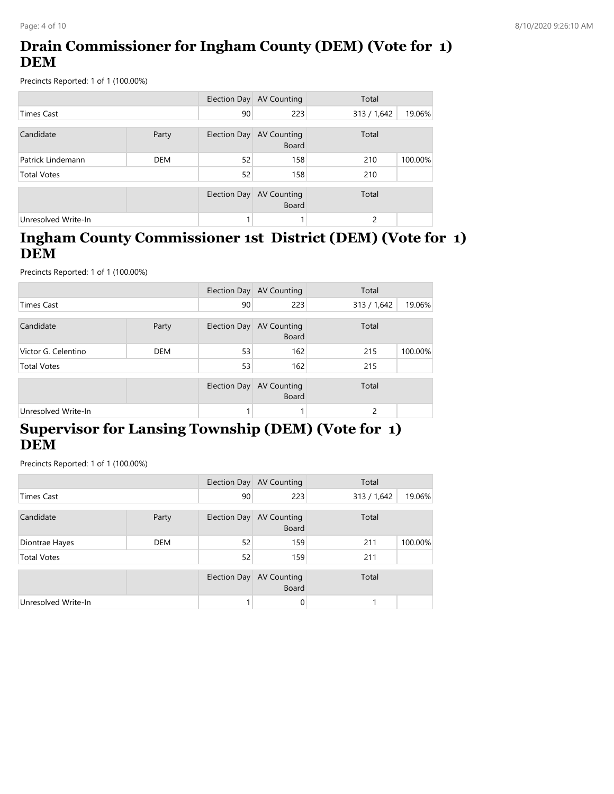# **Drain Commissioner for Ingham County (DEM) (Vote for 1) DEM**

Precincts Reported: 1 of 1 (100.00%)

|                     |       |              | Election Day AV Counting           | Total         |         |
|---------------------|-------|--------------|------------------------------------|---------------|---------|
| Times Cast          |       | 90           | 223                                | 313 / 1,642   | 19.06%  |
| Candidate           | Party | Election Day | AV Counting<br><b>Board</b>        | Total         |         |
| Patrick Lindemann   | DEM   | 52           | 158                                | 210           | 100.00% |
| <b>Total Votes</b>  |       | 52           | 158                                | 210           |         |
|                     |       | Election Day | <b>AV Counting</b><br><b>Board</b> | Total         |         |
| Unresolved Write-In |       |              |                                    | $\mathcal{D}$ |         |

#### **Ingham County Commissioner 1st District (DEM) (Vote for 1) DEM**

Precincts Reported: 1 of 1 (100.00%)

|                     |            |              | Election Day AV Counting    | Total       |         |
|---------------------|------------|--------------|-----------------------------|-------------|---------|
| <b>Times Cast</b>   |            | 90           | 223                         | 313 / 1,642 | 19.06%  |
| Candidate           | Party      | Election Day | AV Counting<br>Board        | Total       |         |
| Victor G. Celentino | <b>DEM</b> | 53           | 162                         | 215         | 100.00% |
| <b>Total Votes</b>  |            | 53           | 162                         | 215         |         |
|                     |            | Election Day | AV Counting<br><b>Board</b> | Total       |         |
| Unresolved Write-In |            |              |                             | 2           |         |

### **Supervisor for Lansing Township (DEM) (Vote for 1) DEM**

|                     |            |              | Election Day AV Counting                 | Total       |         |
|---------------------|------------|--------------|------------------------------------------|-------------|---------|
| <b>Times Cast</b>   |            | 90           | 223                                      | 313 / 1,642 | 19.06%  |
| Candidate           | Party      |              | Election Day AV Counting<br><b>Board</b> | Total       |         |
| Diontrae Hayes      | <b>DEM</b> | 52           | 159                                      | 211         | 100.00% |
| <b>Total Votes</b>  |            | 52           | 159                                      | 211         |         |
|                     |            | Election Day | <b>AV Counting</b><br><b>Board</b>       | Total       |         |
| Unresolved Write-In |            |              | 0                                        |             |         |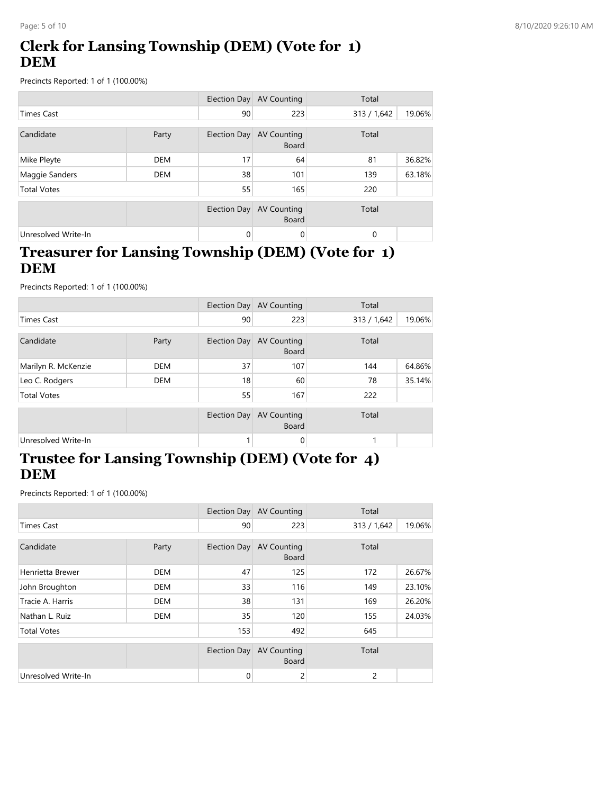# **Clerk for Lansing Township (DEM) (Vote for 1) DEM**

Precincts Reported: 1 of 1 (100.00%)

|                     |            |              | Election Day AV Counting           | Total       |        |
|---------------------|------------|--------------|------------------------------------|-------------|--------|
| Times Cast          |            | 90           | 223                                | 313 / 1,642 | 19.06% |
| Candidate           | Party      | Election Day | AV Counting<br><b>Board</b>        | Total       |        |
| Mike Pleyte         | <b>DEM</b> | 17           | 64                                 | 81          | 36.82% |
| Maggie Sanders      | <b>DEM</b> | 38           | 101                                | 139         | 63.18% |
| <b>Total Votes</b>  |            | 55           | 165                                | 220         |        |
|                     |            | Election Day | <b>AV Counting</b><br><b>Board</b> | Total       |        |
| Unresolved Write-In |            | $\Omega$     | 0                                  | $\mathbf 0$ |        |

### **Treasurer for Lansing Township (DEM) (Vote for 1) DEM**

Precincts Reported: 1 of 1 (100.00%)

|                     |            |              | Election Day AV Counting                 | Total       |        |
|---------------------|------------|--------------|------------------------------------------|-------------|--------|
| <b>Times Cast</b>   |            | 90           | 223                                      | 313 / 1,642 | 19.06% |
| Candidate           | Party      |              | Election Day AV Counting<br><b>Board</b> | Total       |        |
| Marilyn R. McKenzie | <b>DEM</b> | 37           | 107                                      | 144         | 64.86% |
| Leo C. Rodgers      | <b>DEM</b> | 18           | 60                                       | 78          | 35.14% |
| <b>Total Votes</b>  |            | 55           | 167                                      | 222         |        |
|                     |            | Election Day | <b>AV Counting</b><br><b>Board</b>       | Total       |        |
| Unresolved Write-In |            |              | 0                                        | 1           |        |

### **Trustee for Lansing Township (DEM) (Vote for 4) DEM**

|                     |            |              | Election Day AV Counting           | Total       |        |
|---------------------|------------|--------------|------------------------------------|-------------|--------|
| <b>Times Cast</b>   |            | 90           | 223                                | 313 / 1,642 | 19.06% |
| Candidate           | Party      | Election Day | <b>AV Counting</b><br><b>Board</b> | Total       |        |
| Henrietta Brewer    | <b>DEM</b> | 47           | 125                                | 172         | 26.67% |
| John Broughton      | <b>DEM</b> | 33           | 116                                | 149         | 23.10% |
| Tracie A. Harris    | <b>DEM</b> | 38           | 131                                | 169         | 26.20% |
| Nathan L. Ruiz      | <b>DEM</b> | 35           | 120                                | 155         | 24.03% |
| <b>Total Votes</b>  |            | 153          | 492                                | 645         |        |
|                     |            | Election Day | <b>AV Counting</b><br><b>Board</b> | Total       |        |
| Unresolved Write-In |            | 0            | 2                                  | 2           |        |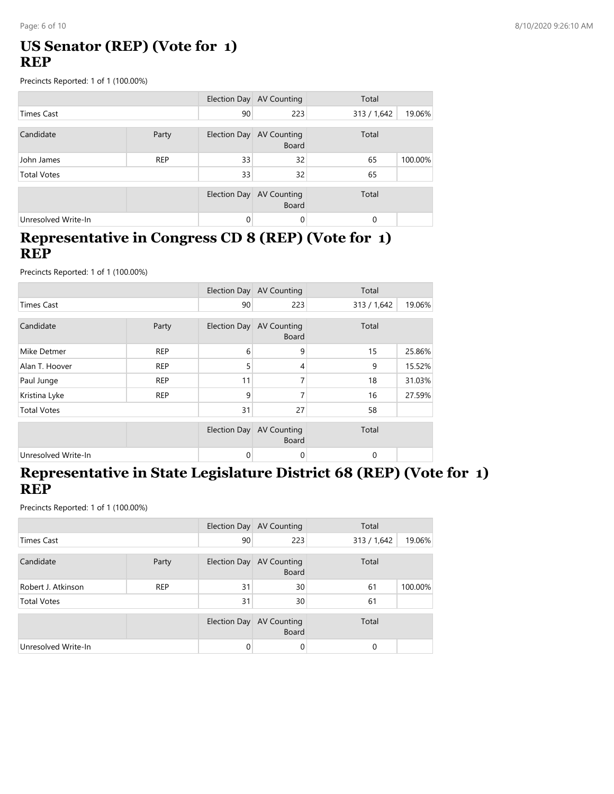# **US Senator (REP) (Vote for 1) REP**

Precincts Reported: 1 of 1 (100.00%)

|                     |            |                     | Election Day AV Counting                 | Total       |         |
|---------------------|------------|---------------------|------------------------------------------|-------------|---------|
| <b>Times Cast</b>   |            | 90                  | 223                                      | 313 / 1,642 | 19.06%  |
| Candidate           | Party      |                     | Election Day AV Counting<br><b>Board</b> | Total       |         |
| John James          | <b>REP</b> | 33                  | 32                                       | 65          | 100.00% |
| <b>Total Votes</b>  |            | 33                  | 32                                       | 65          |         |
|                     |            | <b>Election Day</b> | AV Counting<br><b>Board</b>              | Total       |         |
| Unresolved Write-In |            | $\Omega$            | 0                                        | $\Omega$    |         |

#### **Representative in Congress CD 8 (REP) (Vote for 1) REP**

Precincts Reported: 1 of 1 (100.00%)

|                     |            |                     | Election Day AV Counting           | Total       |        |
|---------------------|------------|---------------------|------------------------------------|-------------|--------|
| <b>Times Cast</b>   |            | 90                  | 223                                | 313 / 1,642 | 19.06% |
| Candidate           | Party      | Election Day        | <b>AV Counting</b><br><b>Board</b> | Total       |        |
| Mike Detmer         | <b>REP</b> | 6                   | 9                                  | 15          | 25.86% |
| Alan T. Hoover      | <b>REP</b> | 5                   | 4                                  | 9           | 15.52% |
| Paul Junge          | <b>REP</b> | 11                  | 7                                  | 18          | 31.03% |
| Kristina Lyke       | <b>REP</b> | 9                   | 7                                  | 16          | 27.59% |
| <b>Total Votes</b>  |            | 31                  | 27                                 | 58          |        |
|                     |            | <b>Election Day</b> | <b>AV Counting</b><br><b>Board</b> | Total       |        |
| Unresolved Write-In |            | 0                   | 0                                  | 0           |        |

#### **Representative in State Legislature District 68 (REP) (Vote for 1) REP**

|                     |            |              | Election Day AV Counting    | Total       |         |
|---------------------|------------|--------------|-----------------------------|-------------|---------|
| Times Cast          |            | 90           | 223                         | 313 / 1,642 | 19.06%  |
| Candidate           | Party      | Election Day | AV Counting<br><b>Board</b> | Total       |         |
| Robert J. Atkinson  | <b>REP</b> | 31           | 30                          | 61          | 100.00% |
| <b>Total Votes</b>  |            | 31           | 30                          | 61          |         |
|                     |            | Election Day | AV Counting<br><b>Board</b> | Total       |         |
| Unresolved Write-In |            | 0            | 0                           | 0           |         |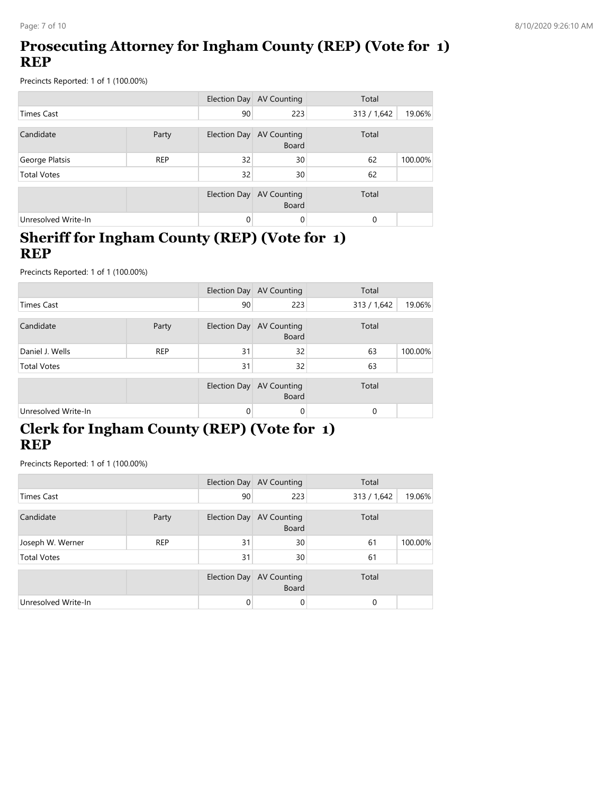# **Prosecuting Attorney for Ingham County (REP) (Vote for 1) REP**

Precincts Reported: 1 of 1 (100.00%)

|                     |            |                     | Election Day AV Counting           | Total       |         |
|---------------------|------------|---------------------|------------------------------------|-------------|---------|
| <b>Times Cast</b>   |            | 90                  | 223                                | 313 / 1,642 | 19.06%  |
| Candidate           | Party      | <b>Election Day</b> | <b>AV Counting</b><br><b>Board</b> | Total       |         |
| George Platsis      | <b>REP</b> | 32                  | 30                                 | 62          | 100.00% |
| <b>Total Votes</b>  |            | 32                  | 30                                 | 62          |         |
|                     |            | Election Day        | <b>AV Counting</b><br><b>Board</b> | Total       |         |
| Unresolved Write-In |            | $\mathbf{0}$        | $\Omega$                           | 0           |         |

#### **Sheriff for Ingham County (REP) (Vote for 1) REP**

Precincts Reported: 1 of 1 (100.00%)

|                     |            |              | Election Day AV Counting                 | Total       |         |
|---------------------|------------|--------------|------------------------------------------|-------------|---------|
| Times Cast          |            | 90           | 223                                      | 313 / 1,642 | 19.06%  |
| Candidate           | Party      |              | Election Day AV Counting<br><b>Board</b> | Total       |         |
| Daniel J. Wells     | <b>REP</b> | 31           | 32                                       | 63          | 100.00% |
| <b>Total Votes</b>  |            | 31           | 32                                       | 63          |         |
|                     |            | Election Day | AV Counting<br><b>Board</b>              | Total       |         |
| Unresolved Write-In |            | 0            | 0                                        | $\Omega$    |         |

# **Clerk for Ingham County (REP) (Vote for 1) REP**

|                     |            |          | Election Day AV Counting                 | Total       |         |
|---------------------|------------|----------|------------------------------------------|-------------|---------|
| Times Cast          |            | 90       | 223                                      | 313 / 1,642 | 19.06%  |
| Candidate           | Party      |          | Election Day AV Counting<br><b>Board</b> | Total       |         |
| Joseph W. Werner    | <b>REP</b> | 31       | 30                                       | 61          | 100.00% |
| <b>Total Votes</b>  |            | 31       | 30                                       | 61          |         |
|                     |            |          | Election Day AV Counting<br><b>Board</b> | Total       |         |
| Unresolved Write-In |            | $\Omega$ | 0                                        | 0           |         |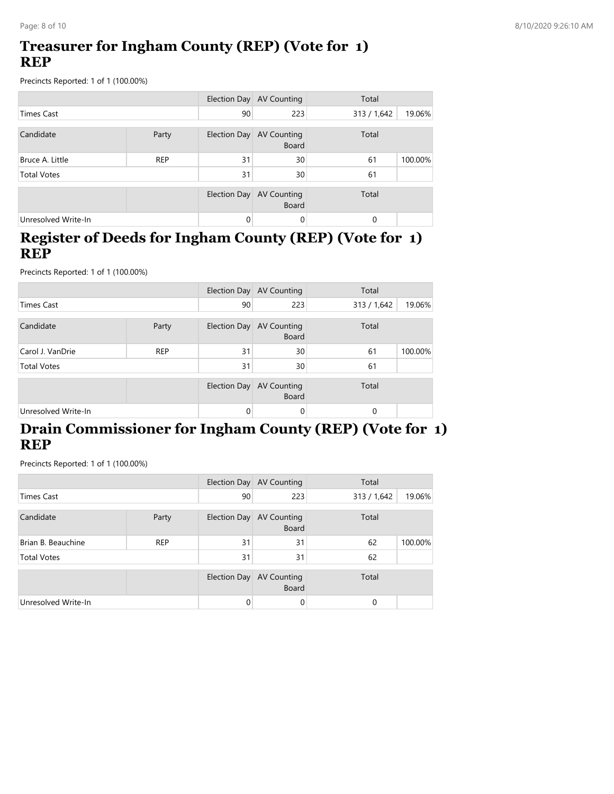### **Treasurer for Ingham County (REP) (Vote for 1) REP**

Precincts Reported: 1 of 1 (100.00%)

|                     |            |              | Election Day AV Counting                 | Total       |         |
|---------------------|------------|--------------|------------------------------------------|-------------|---------|
| Times Cast          |            | 90           | 223                                      | 313 / 1,642 | 19.06%  |
| Candidate           | Party      |              | Election Day AV Counting<br><b>Board</b> | Total       |         |
| Bruce A. Little     | <b>REP</b> | 31           | 30                                       | 61          | 100.00% |
| <b>Total Votes</b>  |            | 31           | 30                                       | 61          |         |
|                     |            | Election Day | AV Counting<br><b>Board</b>              | Total       |         |
| Unresolved Write-In |            | 0            | $\Omega$                                 | 0           |         |

#### **Register of Deeds for Ingham County (REP) (Vote for 1) REP**

Precincts Reported: 1 of 1 (100.00%)

|                     |            |              | Election Day AV Counting                 | Total       |         |
|---------------------|------------|--------------|------------------------------------------|-------------|---------|
| <b>Times Cast</b>   |            | 90           | 223                                      | 313 / 1,642 | 19.06%  |
| Candidate           | Party      |              | Election Day AV Counting<br><b>Board</b> | Total       |         |
| Carol J. VanDrie    | <b>REP</b> | 31           | 30                                       | 61          | 100.00% |
| <b>Total Votes</b>  |            | 31           | 30                                       | 61          |         |
|                     |            | Election Day | <b>AV Counting</b><br><b>Board</b>       | Total       |         |
| Unresolved Write-In |            | $\Omega$     | 0                                        | $\Omega$    |         |

### **Drain Commissioner for Ingham County (REP) (Vote for 1) REP**

|                     |            |          | Election Day AV Counting                 | Total       |         |
|---------------------|------------|----------|------------------------------------------|-------------|---------|
| Times Cast          |            | 90       | 223                                      | 313 / 1,642 | 19.06%  |
| Candidate           | Party      |          | Election Day AV Counting<br><b>Board</b> | Total       |         |
| Brian B. Beauchine  | <b>REP</b> | 31       | 31                                       | 62          | 100.00% |
| <b>Total Votes</b>  |            | 31       | 31                                       | 62          |         |
|                     |            |          | Election Day AV Counting<br><b>Board</b> | Total       |         |
| Unresolved Write-In |            | $\Omega$ | 0                                        | 0           |         |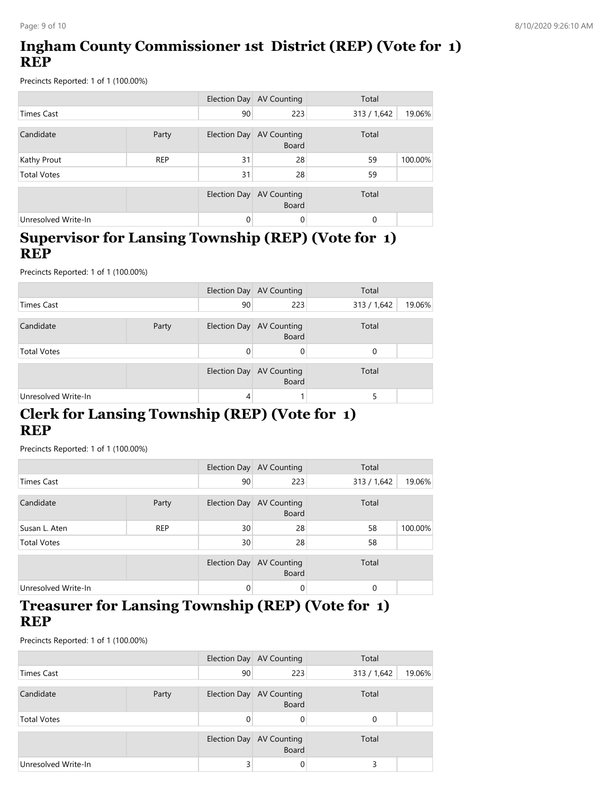## **Ingham County Commissioner 1st District (REP) (Vote for 1) REP**

Precincts Reported: 1 of 1 (100.00%)

|                     |            |              | Election Day AV Counting                 | Total       |         |
|---------------------|------------|--------------|------------------------------------------|-------------|---------|
| <b>Times Cast</b>   |            | 90           | 223                                      | 313 / 1,642 | 19.06%  |
| Candidate           | Party      |              | Election Day AV Counting<br><b>Board</b> | Total       |         |
| Kathy Prout         | <b>REP</b> | 31           | 28                                       | 59          | 100.00% |
| <b>Total Votes</b>  |            | 31           | 28                                       | 59          |         |
|                     |            | Election Day | <b>AV Counting</b><br><b>Board</b>       | Total       |         |
| Unresolved Write-In |            | $\Omega$     | $\Omega$                                 | $\Omega$    |         |

#### **Supervisor for Lansing Township (REP) (Vote for 1) REP**

Precincts Reported: 1 of 1 (100.00%)

|                     |       |    | Election Day AV Counting                 | Total                 |
|---------------------|-------|----|------------------------------------------|-----------------------|
| Times Cast          |       | 90 | 223                                      | 19.06%<br>313 / 1,642 |
| Candidate           | Party |    | Election Day AV Counting<br><b>Board</b> | Total                 |
| <b>Total Votes</b>  |       |    | 0                                        | 0                     |
|                     |       |    | Election Day AV Counting<br><b>Board</b> | Total                 |
| Unresolved Write-In |       | 4  |                                          | 5                     |

### **Clerk for Lansing Township (REP) (Vote for 1) REP**

Precincts Reported: 1 of 1 (100.00%)

|                     |            |                     | Election Day AV Counting                 | Total       |         |
|---------------------|------------|---------------------|------------------------------------------|-------------|---------|
| <b>Times Cast</b>   |            | 90                  | 223                                      | 313 / 1,642 | 19.06%  |
| Candidate           | Party      |                     | Election Day AV Counting<br><b>Board</b> | Total       |         |
| Susan L. Aten       | <b>REP</b> | 30                  | 28                                       | 58          | 100.00% |
| <b>Total Votes</b>  |            | 30                  | 28                                       | 58          |         |
|                     |            | <b>Election Day</b> | <b>AV Counting</b><br><b>Board</b>       | Total       |         |
| Unresolved Write-In |            | $\Omega$            | 0                                        | 0           |         |

#### **Treasurer for Lansing Township (REP) (Vote for 1) REP**

|                     |       |              | Election Day AV Counting                 | Total                 |
|---------------------|-------|--------------|------------------------------------------|-----------------------|
| Times Cast          |       | 90           | 223                                      | 19.06%<br>313 / 1,642 |
| Candidate           | Party |              | Election Day AV Counting<br><b>Board</b> | Total                 |
| <b>Total Votes</b>  |       | $\Omega$     |                                          | 0                     |
|                     |       | Election Day | <b>AV Counting</b><br><b>Board</b>       | Total                 |
| Unresolved Write-In |       | 3            |                                          | 3                     |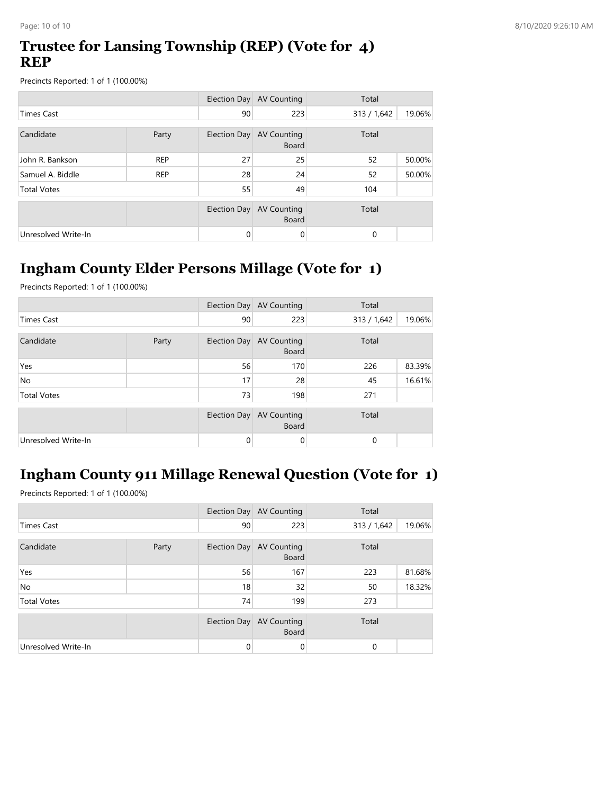### **Trustee for Lansing Township (REP) (Vote for 4) REP**

Precincts Reported: 1 of 1 (100.00%)

|                     |            |              | Election Day AV Counting           | Total       |        |
|---------------------|------------|--------------|------------------------------------|-------------|--------|
| <b>Times Cast</b>   |            | 90           | 223                                | 313 / 1,642 | 19.06% |
| Candidate           | Party      | Election Day | <b>AV Counting</b><br><b>Board</b> | Total       |        |
| John R. Bankson     | <b>REP</b> | 27           | 25                                 | 52          | 50.00% |
| Samuel A. Biddle    | <b>REP</b> | 28           | 24                                 | 52          | 50.00% |
| <b>Total Votes</b>  |            | 55           | 49                                 | 104         |        |
|                     |            | Election Day | <b>AV Counting</b><br><b>Board</b> | Total       |        |
| Unresolved Write-In |            | 0            | 0                                  | 0           |        |

# **Ingham County Elder Persons Millage (Vote for 1)**

Precincts Reported: 1 of 1 (100.00%)

|                     |       |          | Election Day AV Counting                 | Total       |        |
|---------------------|-------|----------|------------------------------------------|-------------|--------|
| <b>Times Cast</b>   |       | 90       | 223                                      | 313 / 1,642 | 19.06% |
| Candidate           | Party |          | Election Day AV Counting<br><b>Board</b> | Total       |        |
| Yes                 |       | 56       | 170                                      | 226         | 83.39% |
| <b>No</b>           |       | 17       | 28                                       | 45          | 16.61% |
| <b>Total Votes</b>  |       | 73       | 198                                      | 271         |        |
|                     |       |          | Election Day AV Counting<br><b>Board</b> | Total       |        |
| Unresolved Write-In |       | $\Omega$ | 0                                        | 0           |        |

# **Ingham County 911 Millage Renewal Question (Vote for 1)**

|                     |       |    | Election Day AV Counting                 | Total       |        |
|---------------------|-------|----|------------------------------------------|-------------|--------|
| <b>Times Cast</b>   |       | 90 | 223                                      | 313 / 1,642 | 19.06% |
| Candidate           | Party |    | Election Day AV Counting<br><b>Board</b> | Total       |        |
| Yes                 |       | 56 | 167                                      | 223         | 81.68% |
| <b>No</b>           |       | 18 | 32                                       | 50          | 18.32% |
| <b>Total Votes</b>  |       | 74 | 199                                      | 273         |        |
|                     |       |    | Election Day AV Counting<br><b>Board</b> | Total       |        |
| Unresolved Write-In |       | 0  | 0                                        | 0           |        |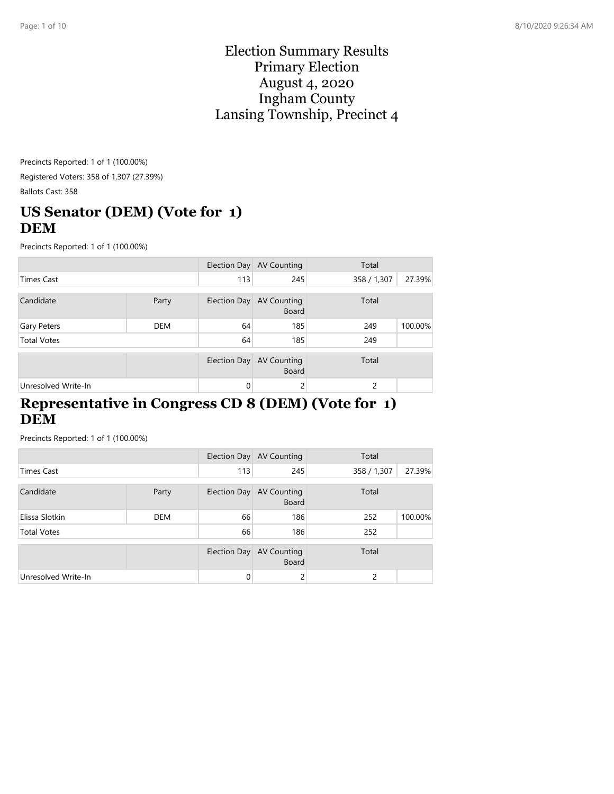#### Election Summary Results Primary Election August 4, 2020 Ingham County Lansing Township, Precinct 4

Precincts Reported: 1 of 1 (100.00%) Registered Voters: 358 of 1,307 (27.39%) Ballots Cast: 358

# **US Senator (DEM) (Vote for 1) DEM**

Precincts Reported: 1 of 1 (100.00%)

|                     |            |              | Election Day AV Counting                 | Total       |         |
|---------------------|------------|--------------|------------------------------------------|-------------|---------|
| <b>Times Cast</b>   |            | 113          | 245                                      | 358 / 1,307 | 27.39%  |
| Candidate           | Party      |              | Election Day AV Counting<br><b>Board</b> | Total       |         |
| Gary Peters         | <b>DEM</b> | 64           | 185                                      | 249         | 100.00% |
| <b>Total Votes</b>  |            | 64           | 185                                      | 249         |         |
|                     |            | Election Day | <b>AV Counting</b><br><b>Board</b>       | Total       |         |
| Unresolved Write-In |            | $\Omega$     | ے                                        | 2           |         |

#### **Representative in Congress CD 8 (DEM) (Vote for 1) DEM**

|                     |            |              | Election Day AV Counting                 | Total         |         |
|---------------------|------------|--------------|------------------------------------------|---------------|---------|
| Times Cast          |            | 113          | 245                                      | 358 / 1,307   | 27.39%  |
| Candidate           | Party      |              | Election Day AV Counting<br><b>Board</b> | Total         |         |
| Elissa Slotkin      | <b>DEM</b> | 66           | 186                                      | 252           | 100.00% |
| <b>Total Votes</b>  |            | 66           | 186                                      | 252           |         |
|                     |            | Election Day | AV Counting<br><b>Board</b>              | Total         |         |
| Unresolved Write-In |            | $\Omega$     | ∠                                        | $\mathcal{P}$ |         |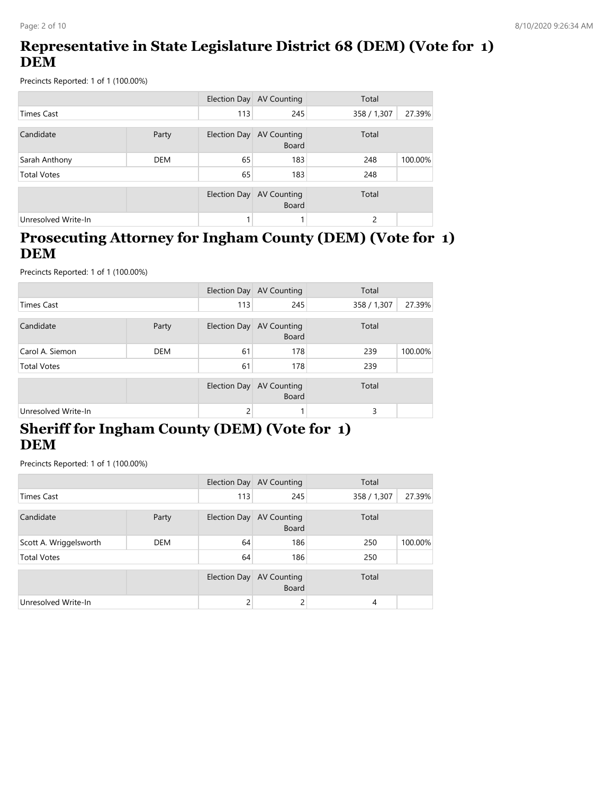## **Representative in State Legislature District 68 (DEM) (Vote for 1) DEM**

Precincts Reported: 1 of 1 (100.00%)

|                     |            |              | Election Day AV Counting           | Total         |         |
|---------------------|------------|--------------|------------------------------------|---------------|---------|
| <b>Times Cast</b>   |            | 113          | 245                                | 358 / 1,307   | 27.39%  |
| Candidate           | Party      | Election Day | AV Counting<br><b>Board</b>        | Total         |         |
| Sarah Anthony       | <b>DEM</b> | 65           | 183                                | 248           | 100.00% |
| <b>Total Votes</b>  |            | 65           | 183                                | 248           |         |
|                     |            | Election Day | <b>AV Counting</b><br><b>Board</b> | Total         |         |
| Unresolved Write-In |            |              |                                    | $\mathcal{P}$ |         |

#### **Prosecuting Attorney for Ingham County (DEM) (Vote for 1) DEM**

Precincts Reported: 1 of 1 (100.00%)

|                     |            |              | Election Day AV Counting           | Total       |         |
|---------------------|------------|--------------|------------------------------------|-------------|---------|
| <b>Times Cast</b>   |            | 113          | 245                                | 358 / 1,307 | 27.39%  |
| Candidate           | Party      | Election Day | <b>AV Counting</b><br>Board        | Total       |         |
| Carol A. Siemon     | <b>DEM</b> | 61           | 178                                | 239         | 100.00% |
| <b>Total Votes</b>  |            | 61           | 178                                | 239         |         |
|                     |            | Election Day | <b>AV Counting</b><br><b>Board</b> | Total       |         |
| Unresolved Write-In |            | 2            |                                    | 3           |         |

### **Sheriff for Ingham County (DEM) (Vote for 1) DEM**

|                        |            |              | Election Day AV Counting                 | Total       |         |
|------------------------|------------|--------------|------------------------------------------|-------------|---------|
| <b>Times Cast</b>      |            | 113          | 245                                      | 358 / 1,307 | 27.39%  |
| Candidate              | Party      |              | Election Day AV Counting<br><b>Board</b> | Total       |         |
| Scott A. Wriggelsworth | <b>DEM</b> | 64           | 186                                      | 250         | 100.00% |
| <b>Total Votes</b>     |            | 64           | 186                                      | 250         |         |
|                        |            | Election Day | <b>AV Counting</b><br><b>Board</b>       | Total       |         |
| Unresolved Write-In    |            | 2            |                                          | 4           |         |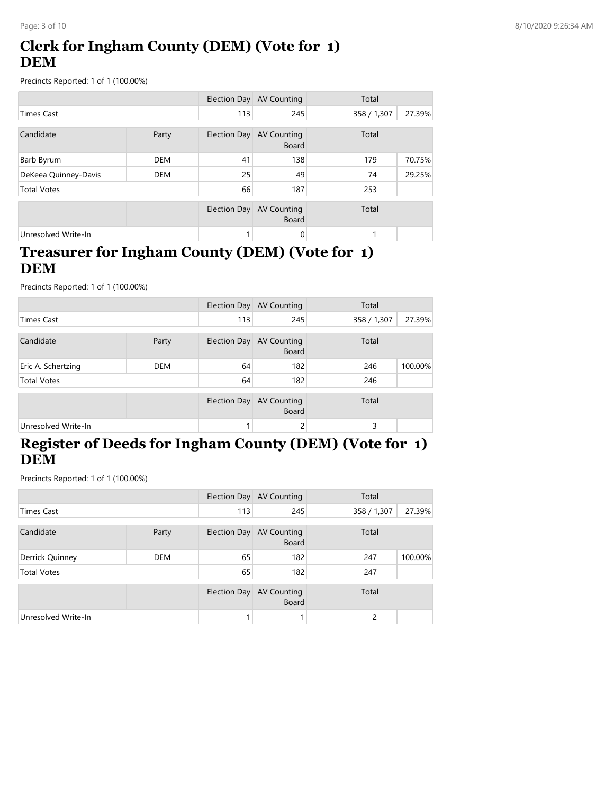# **Clerk for Ingham County (DEM) (Vote for 1) DEM**

Precincts Reported: 1 of 1 (100.00%)

|                      |            |              | Election Day AV Counting           | Total       |        |
|----------------------|------------|--------------|------------------------------------|-------------|--------|
| <b>Times Cast</b>    |            | 113          | 245                                | 358 / 1,307 | 27.39% |
| Candidate<br>Party   |            | Election Day | <b>AV Counting</b><br><b>Board</b> | Total       |        |
| Barb Byrum           | <b>DEM</b> | 41           | 138                                | 179         | 70.75% |
| DeKeea Quinney-Davis | <b>DEM</b> | 25           | 49                                 | 74          | 29.25% |
| <b>Total Votes</b>   |            | 66           | 187                                | 253         |        |
|                      |            | Election Day | <b>AV Counting</b><br><b>Board</b> | Total       |        |
| Unresolved Write-In  |            |              | 0                                  |             |        |

### **Treasurer for Ingham County (DEM) (Vote for 1) DEM**

Precincts Reported: 1 of 1 (100.00%)

|                     |            |     | Election Day AV Counting                 | Total       |         |
|---------------------|------------|-----|------------------------------------------|-------------|---------|
| <b>Times Cast</b>   |            | 113 | 245                                      | 358 / 1,307 | 27.39%  |
| Candidate           | Party      |     | Election Day AV Counting<br><b>Board</b> | Total       |         |
| Eric A. Schertzing  | <b>DEM</b> | 64  | 182                                      | 246         | 100.00% |
| <b>Total Votes</b>  |            | 64  | 182                                      | 246         |         |
|                     |            |     | Election Day AV Counting<br><b>Board</b> | Total       |         |
| Unresolved Write-In |            |     | 2                                        | 3           |         |

# **Register of Deeds for Ingham County (DEM) (Vote for 1) DEM**

|                     |            |              | Election Day AV Counting                 | Total       |         |
|---------------------|------------|--------------|------------------------------------------|-------------|---------|
| Times Cast          |            | 113          | 245                                      | 358 / 1,307 | 27.39%  |
| Candidate           | Party      |              | Election Day AV Counting<br><b>Board</b> | Total       |         |
| Derrick Quinney     | <b>DEM</b> | 65           | 182                                      | 247         | 100.00% |
| <b>Total Votes</b>  |            | 65           | 182                                      | 247         |         |
|                     |            | Election Day | <b>AV Counting</b><br><b>Board</b>       | Total       |         |
| Unresolved Write-In |            |              |                                          | 2           |         |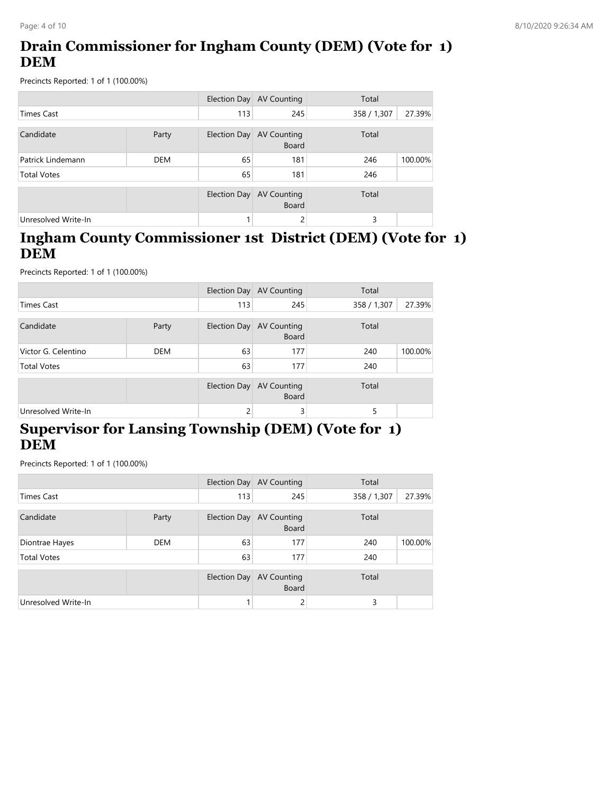# **Drain Commissioner for Ingham County (DEM) (Vote for 1) DEM**

Precincts Reported: 1 of 1 (100.00%)

|                     |       |              | Election Day AV Counting           | Total       |         |
|---------------------|-------|--------------|------------------------------------|-------------|---------|
| Times Cast          |       | 113          | 245                                | 358 / 1,307 | 27.39%  |
| Candidate           | Party | Election Day | AV Counting<br><b>Board</b>        | Total       |         |
| Patrick Lindemann   | DEM   | 65           | 181                                | 246         | 100.00% |
| <b>Total Votes</b>  |       | 65           | 181                                | 246         |         |
|                     |       | Election Day | <b>AV Counting</b><br><b>Board</b> | Total       |         |
| Unresolved Write-In |       |              | 2                                  | 3           |         |

#### **Ingham County Commissioner 1st District (DEM) (Vote for 1) DEM**

Precincts Reported: 1 of 1 (100.00%)

|                     |            |               | Election Day AV Counting    | Total       |         |
|---------------------|------------|---------------|-----------------------------|-------------|---------|
| <b>Times Cast</b>   |            | 113           | 245                         | 358 / 1,307 | 27.39%  |
| Candidate           | Party      | Election Day  | AV Counting<br><b>Board</b> | Total       |         |
| Victor G. Celentino | <b>DEM</b> | 63            | 177                         | 240         | 100.00% |
| <b>Total Votes</b>  |            | 63            | 177                         | 240         |         |
|                     |            | Election Day  | AV Counting<br><b>Board</b> | Total       |         |
| Unresolved Write-In |            | $\mathcal{P}$ | 3                           | 5           |         |

# **Supervisor for Lansing Township (DEM) (Vote for 1) DEM**

|                     |            |              | Election Day AV Counting                 | Total       |         |
|---------------------|------------|--------------|------------------------------------------|-------------|---------|
| Times Cast          |            | 113          | 245                                      | 358 / 1,307 | 27.39%  |
| Candidate           | Party      |              | Election Day AV Counting<br><b>Board</b> | Total       |         |
| Diontrae Hayes      | <b>DEM</b> | 63           | 177                                      | 240         | 100.00% |
| <b>Total Votes</b>  |            | 63           | 177                                      | 240         |         |
|                     |            | Election Day | <b>AV Counting</b><br><b>Board</b>       | Total       |         |
| Unresolved Write-In |            |              |                                          | 3           |         |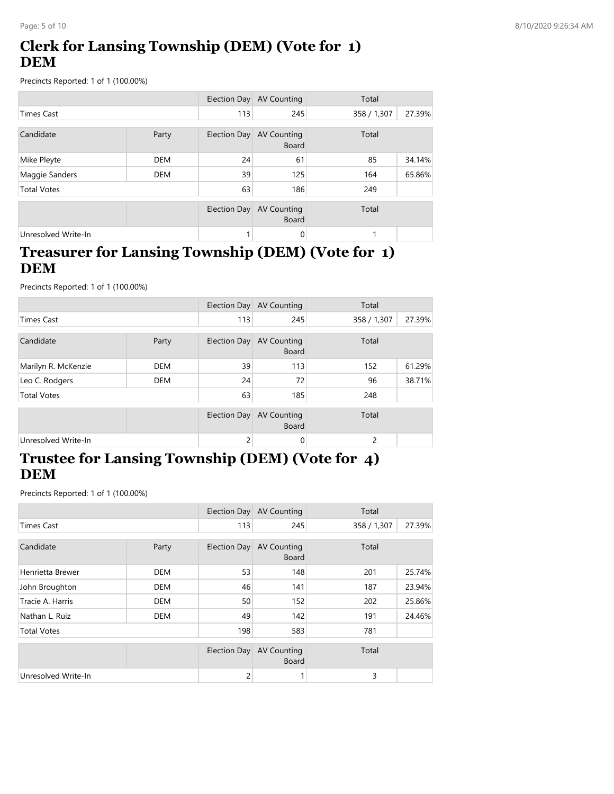# **Clerk for Lansing Township (DEM) (Vote for 1) DEM**

Precincts Reported: 1 of 1 (100.00%)

|                     |            |                     | Election Day AV Counting           | Total       |        |
|---------------------|------------|---------------------|------------------------------------|-------------|--------|
| <b>Times Cast</b>   |            | 113                 | 245                                | 358 / 1,307 | 27.39% |
| Candidate           | Party      | Election Day        | AV Counting<br><b>Board</b>        | Total       |        |
| Mike Pleyte         | <b>DEM</b> | 24                  | 61                                 | 85          | 34.14% |
| Maggie Sanders      | <b>DEM</b> | 39                  | 125                                | 164         | 65.86% |
| <b>Total Votes</b>  |            | 63                  | 186                                | 249         |        |
|                     |            | <b>Election Day</b> | <b>AV Counting</b><br><b>Board</b> | Total       |        |
| Unresolved Write-In |            |                     | 0                                  |             |        |

### **Treasurer for Lansing Township (DEM) (Vote for 1) DEM**

Precincts Reported: 1 of 1 (100.00%)

|                     |            |     | Election Day AV Counting                 | Total       |        |
|---------------------|------------|-----|------------------------------------------|-------------|--------|
| <b>Times Cast</b>   |            | 113 | 245                                      | 358 / 1,307 | 27.39% |
| Candidate           | Party      |     | Election Day AV Counting<br><b>Board</b> | Total       |        |
| Marilyn R. McKenzie | <b>DEM</b> | 39  | 113                                      | 152         | 61.29% |
| Leo C. Rodgers      | <b>DEM</b> | 24  | 72                                       | 96          | 38.71% |
| <b>Total Votes</b>  |            | 63  | 185                                      | 248         |        |
|                     |            |     | Election Day AV Counting<br><b>Board</b> | Total       |        |
| Unresolved Write-In |            | 2   | 0                                        | 2           |        |

### **Trustee for Lansing Township (DEM) (Vote for 4) DEM**

|                     |            |              | Election Day AV Counting           | Total       |        |
|---------------------|------------|--------------|------------------------------------|-------------|--------|
| <b>Times Cast</b>   |            | 113          | 245                                | 358 / 1,307 | 27.39% |
|                     |            |              |                                    |             |        |
| Candidate           | Party      | Election Day | <b>AV Counting</b><br><b>Board</b> | Total       |        |
| Henrietta Brewer    | <b>DEM</b> | 53           | 148                                | 201         | 25.74% |
| John Broughton      | DEM        | 46           | 141                                | 187         | 23.94% |
| Tracie A. Harris    | <b>DEM</b> | 50           | 152                                | 202         | 25.86% |
| Nathan L. Ruiz      | <b>DEM</b> | 49           | 142                                | 191         | 24.46% |
| <b>Total Votes</b>  |            | 198          | 583                                | 781         |        |
|                     |            | Election Day | <b>AV Counting</b><br><b>Board</b> | Total       |        |
| Unresolved Write-In |            | 2            |                                    | 3           |        |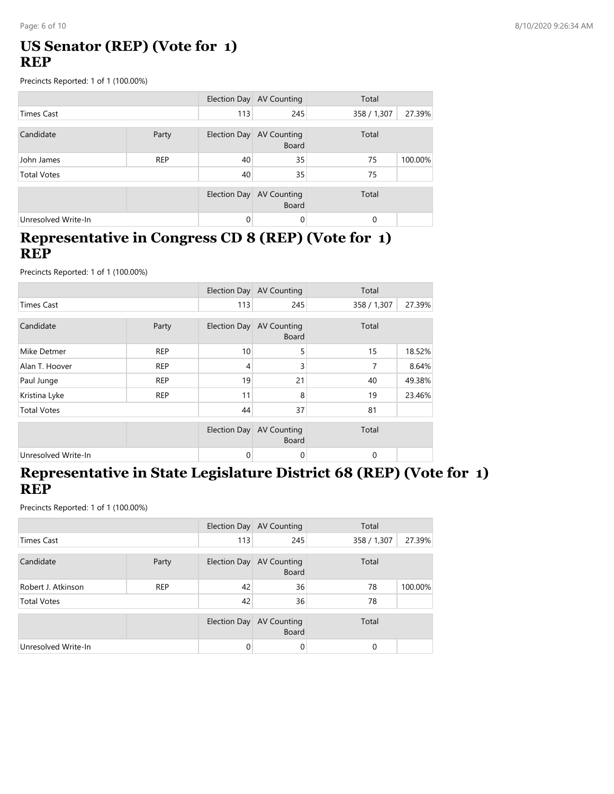### **US Senator (REP) (Vote for 1) REP**

Precincts Reported: 1 of 1 (100.00%)

|                     |            |                     | Election Day AV Counting                 | Total       |         |
|---------------------|------------|---------------------|------------------------------------------|-------------|---------|
| Times Cast          |            | 113                 | 245                                      | 358 / 1,307 | 27.39%  |
| Candidate           | Party      |                     | Election Day AV Counting<br><b>Board</b> | Total       |         |
| John James          | <b>REP</b> | 40                  | 35                                       | 75          | 100.00% |
| <b>Total Votes</b>  |            | 40                  | 35                                       | 75          |         |
|                     |            | <b>Election Day</b> | <b>AV Counting</b><br><b>Board</b>       | Total       |         |
| Unresolved Write-In |            | $\Omega$            | 0                                        | $\Omega$    |         |

#### **Representative in Congress CD 8 (REP) (Vote for 1) REP**

Precincts Reported: 1 of 1 (100.00%)

|                     |            |              | Election Day AV Counting           | Total       |        |
|---------------------|------------|--------------|------------------------------------|-------------|--------|
| <b>Times Cast</b>   |            | 113          | 245                                | 358 / 1,307 | 27.39% |
| Candidate           | Party      | Election Day | <b>AV Counting</b><br><b>Board</b> | Total       |        |
| Mike Detmer         | <b>REP</b> | 10           | 5                                  | 15          | 18.52% |
| Alan T. Hoover      | <b>REP</b> | 4            | 3                                  | 7           | 8.64%  |
| Paul Junge          | <b>REP</b> | 19           | 21                                 | 40          | 49.38% |
| Kristina Lyke       | <b>REP</b> | 11           | 8                                  | 19          | 23.46% |
| <b>Total Votes</b>  |            | 44           | 37                                 | 81          |        |
|                     |            | Election Day | <b>AV Counting</b><br><b>Board</b> | Total       |        |
| Unresolved Write-In |            | 0            | 0                                  | 0           |        |

#### **Representative in State Legislature District 68 (REP) (Vote for 1) REP**

|                     |            |              | Election Day AV Counting           | Total       |         |
|---------------------|------------|--------------|------------------------------------|-------------|---------|
| Times Cast          |            | 113          | 245                                | 358 / 1,307 | 27.39%  |
| Candidate           | Party      | Election Day | AV Counting<br><b>Board</b>        | Total       |         |
| Robert J. Atkinson  | <b>REP</b> | 42           | 36                                 | 78          | 100.00% |
| <b>Total Votes</b>  |            | 42           | 36                                 | 78          |         |
|                     |            | Election Day | <b>AV Counting</b><br><b>Board</b> | Total       |         |
| Unresolved Write-In |            | 0            | 0                                  | $\Omega$    |         |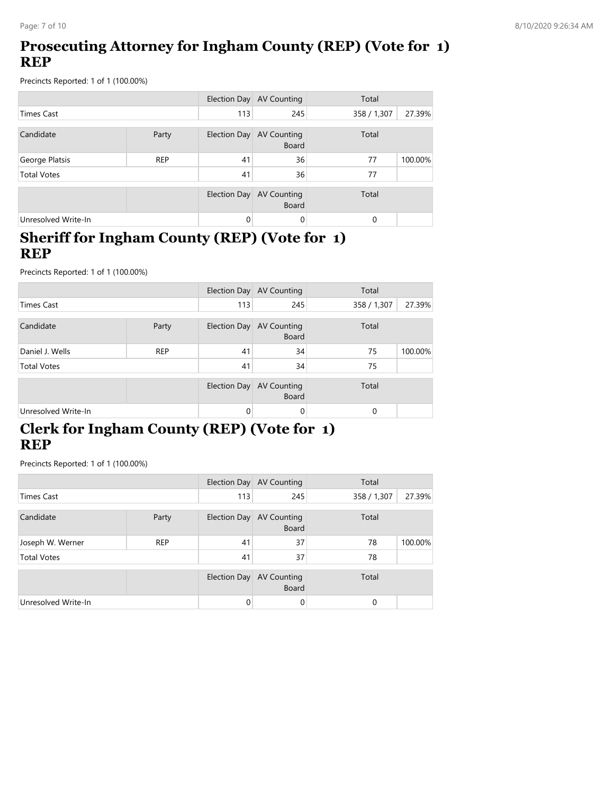# **Prosecuting Attorney for Ingham County (REP) (Vote for 1) REP**

Precincts Reported: 1 of 1 (100.00%)

|                     |            |              | Election Day AV Counting           | Total       |         |
|---------------------|------------|--------------|------------------------------------|-------------|---------|
| <b>Times Cast</b>   |            | 113          | 245                                | 358 / 1,307 | 27.39%  |
| Candidate           | Party      | Election Day | <b>AV Counting</b><br><b>Board</b> | Total       |         |
| George Platsis      | <b>REP</b> | 41           | 36                                 | 77          | 100.00% |
| <b>Total Votes</b>  |            | 41           | 36                                 | 77          |         |
|                     |            | Election Day | <b>AV Counting</b><br><b>Board</b> | Total       |         |
| Unresolved Write-In |            | $\Omega$     | 0                                  | $\Omega$    |         |

#### **Sheriff for Ingham County (REP) (Vote for 1) REP**

Precincts Reported: 1 of 1 (100.00%)

|                     |            |              | Election Day AV Counting           | Total       |         |
|---------------------|------------|--------------|------------------------------------|-------------|---------|
| Times Cast          |            | 113          | 245                                | 358 / 1,307 | 27.39%  |
| Candidate           | Party      | Election Day | <b>AV Counting</b><br><b>Board</b> | Total       |         |
| Daniel J. Wells     | <b>REP</b> | 41           | 34                                 | 75          | 100.00% |
| <b>Total Votes</b>  |            | 41           | 34                                 | 75          |         |
|                     |            | Election Day | AV Counting<br><b>Board</b>        | Total       |         |
| Unresolved Write-In |            | 0            | 0                                  | $\Omega$    |         |

# **Clerk for Ingham County (REP) (Vote for 1) REP**

|                     |            |              | Election Day AV Counting                 | Total       |         |
|---------------------|------------|--------------|------------------------------------------|-------------|---------|
| <b>Times Cast</b>   |            | 113          | 245                                      | 358 / 1,307 | 27.39%  |
| Candidate<br>Party  |            |              | Election Day AV Counting<br><b>Board</b> | Total       |         |
| Joseph W. Werner    | <b>REP</b> | 41           | 37                                       | 78          | 100.00% |
| <b>Total Votes</b>  |            | 41           | 37                                       | 78          |         |
|                     |            | Election Day | <b>AV Counting</b><br><b>Board</b>       | Total       |         |
| Unresolved Write-In |            | $\Omega$     | 0                                        | $\Omega$    |         |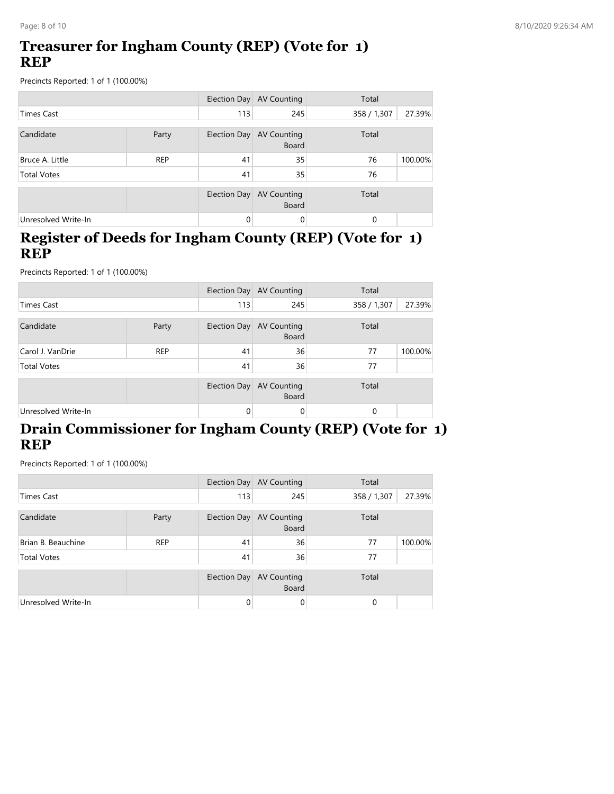### **Treasurer for Ingham County (REP) (Vote for 1) REP**

Precincts Reported: 1 of 1 (100.00%)

|                     |                                                   |              | Election Day AV Counting    | Total       |         |
|---------------------|---------------------------------------------------|--------------|-----------------------------|-------------|---------|
| Times Cast          |                                                   | 113          | 245                         | 358 / 1,307 | 27.39%  |
| Candidate           | Election Day AV Counting<br>Party<br><b>Board</b> |              | Total                       |             |         |
| Bruce A. Little     | <b>REP</b>                                        | 41           | 35                          | 76          | 100.00% |
| <b>Total Votes</b>  |                                                   | 41           | 35                          | 76          |         |
|                     |                                                   | Election Day | AV Counting<br><b>Board</b> | Total       |         |
| Unresolved Write-In |                                                   | 0            | $\Omega$                    | 0           |         |

#### **Register of Deeds for Ingham County (REP) (Vote for 1) REP**

Precincts Reported: 1 of 1 (100.00%)

|                     |            |              | Election Day AV Counting                 | Total       |         |
|---------------------|------------|--------------|------------------------------------------|-------------|---------|
| <b>Times Cast</b>   |            | 113          | 245                                      | 358 / 1,307 | 27.39%  |
| Candidate           | Party      |              | Election Day AV Counting<br><b>Board</b> | Total       |         |
| Carol J. VanDrie    | <b>REP</b> | 41           | 36                                       | 77          | 100.00% |
| <b>Total Votes</b>  |            | 41           | 36                                       | 77          |         |
|                     |            | Election Day | <b>AV Counting</b><br><b>Board</b>       | Total       |         |
| Unresolved Write-In |            | 0            | 0                                        | 0           |         |

### **Drain Commissioner for Ingham County (REP) (Vote for 1) REP**

|                     |            |              | Election Day AV Counting                 | Total       |         |
|---------------------|------------|--------------|------------------------------------------|-------------|---------|
| Times Cast          |            | 113          | 245                                      | 358 / 1,307 | 27.39%  |
| Candidate<br>Party  |            |              | Election Day AV Counting<br><b>Board</b> | Total       |         |
| Brian B. Beauchine  | <b>REP</b> | 41           | 36                                       | 77          | 100.00% |
| <b>Total Votes</b>  |            | 41           | 36                                       | 77          |         |
|                     |            | Election Day | AV Counting<br><b>Board</b>              | Total       |         |
| Unresolved Write-In |            | $\Omega$     | 0                                        | 0           |         |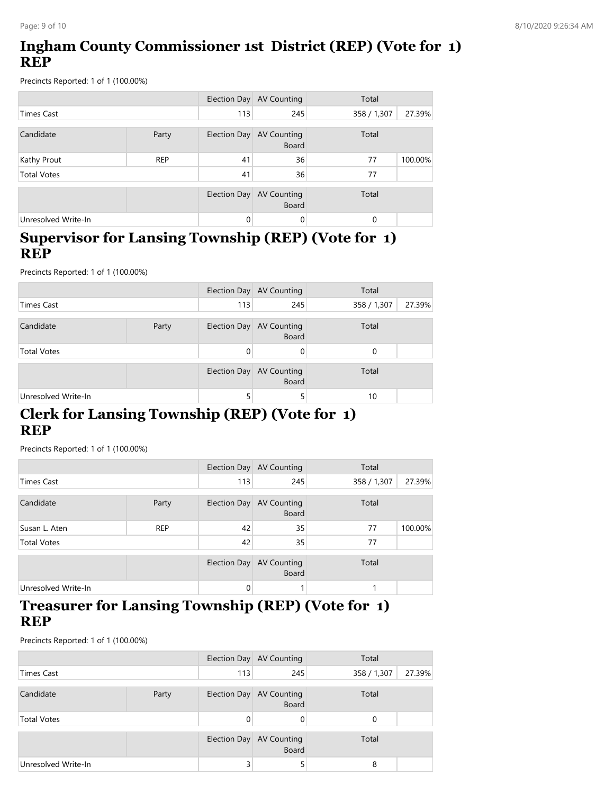# **Ingham County Commissioner 1st District (REP) (Vote for 1) REP**

Precincts Reported: 1 of 1 (100.00%)

|                     |            |              | Election Day AV Counting           | Total       |         |
|---------------------|------------|--------------|------------------------------------|-------------|---------|
| <b>Times Cast</b>   |            | 113          | 245                                | 358 / 1,307 | 27.39%  |
| Candidate<br>Party  |            | Election Day | <b>AV Counting</b><br>Board        | Total       |         |
| Kathy Prout         | <b>REP</b> | 41           | 36                                 | 77          | 100.00% |
| <b>Total Votes</b>  |            | 41           | 36                                 | 77          |         |
|                     |            | Election Day | <b>AV Counting</b><br><b>Board</b> | Total       |         |
| Unresolved Write-In |            | 0            | 0                                  | $\Omega$    |         |

#### **Supervisor for Lansing Township (REP) (Vote for 1) REP**

Precincts Reported: 1 of 1 (100.00%)

|                     |       |     | Election Day AV Counting                 | Total                 |
|---------------------|-------|-----|------------------------------------------|-----------------------|
| Times Cast          |       | 113 | 245                                      | 27.39%<br>358 / 1,307 |
| Candidate           | Party |     | Election Day AV Counting<br><b>Board</b> | Total                 |
| <b>Total Votes</b>  |       |     | 0                                        | $\Omega$              |
|                     |       |     | Election Day AV Counting<br><b>Board</b> | Total                 |
| Unresolved Write-In |       |     | 5                                        | 10                    |

### **Clerk for Lansing Township (REP) (Vote for 1) REP**

Precincts Reported: 1 of 1 (100.00%)

|                     |            |          | Election Day AV Counting                 | Total       |         |
|---------------------|------------|----------|------------------------------------------|-------------|---------|
| <b>Times Cast</b>   |            | 113      | 245                                      | 358 / 1,307 | 27.39%  |
| Candidate           | Party      |          | Election Day AV Counting<br><b>Board</b> | Total       |         |
| Susan L. Aten       | <b>REP</b> | 42       | 35                                       | 77          | 100.00% |
| <b>Total Votes</b>  |            | 42       | 35                                       | 77          |         |
|                     |            |          | Election Day AV Counting<br><b>Board</b> | Total       |         |
| Unresolved Write-In |            | $\Omega$ |                                          |             |         |

#### **Treasurer for Lansing Township (REP) (Vote for 1) REP**

|                     |       |              | Election Day AV Counting                 | Total                 |
|---------------------|-------|--------------|------------------------------------------|-----------------------|
| Times Cast          |       | 113          | 245                                      | 27.39%<br>358 / 1,307 |
| Candidate           | Party |              | Election Day AV Counting<br><b>Board</b> | Total                 |
| <b>Total Votes</b>  |       | 0            |                                          | 0                     |
|                     |       | Election Day | <b>AV Counting</b><br><b>Board</b>       | Total                 |
| Unresolved Write-In |       | 3            |                                          | 8                     |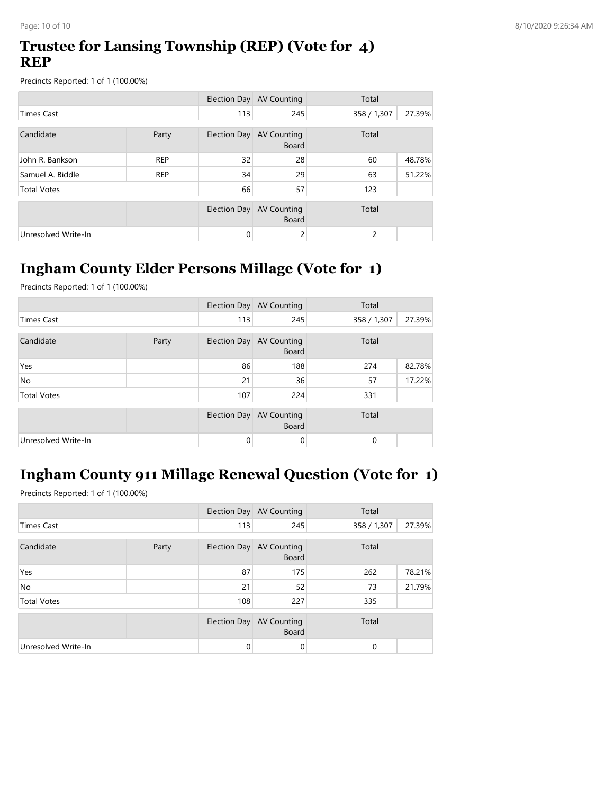### **Trustee for Lansing Township (REP) (Vote for 4) REP**

Precincts Reported: 1 of 1 (100.00%)

|                     |            |              | Election Day AV Counting                    | Total       |        |
|---------------------|------------|--------------|---------------------------------------------|-------------|--------|
| <b>Times Cast</b>   |            | 113          | 245                                         | 358 / 1,307 | 27.39% |
| Candidate           | Party      | Election Day | Total<br><b>AV Counting</b><br><b>Board</b> |             |        |
| John R. Bankson     | <b>REP</b> | 32           | 28                                          | 60          | 48.78% |
| Samuel A. Biddle    | <b>REP</b> | 34           | 29                                          | 63          | 51.22% |
| <b>Total Votes</b>  |            | 66           | 57                                          | 123         |        |
|                     |            | Election Day | <b>AV Counting</b><br><b>Board</b>          | Total       |        |
| Unresolved Write-In |            | 0            | 2                                           | 2           |        |

# **Ingham County Elder Persons Millage (Vote for 1)**

Precincts Reported: 1 of 1 (100.00%)

|                     |       |          | Election Day AV Counting                 | Total       |        |
|---------------------|-------|----------|------------------------------------------|-------------|--------|
| <b>Times Cast</b>   |       | 113      | 245                                      | 358 / 1,307 | 27.39% |
| Candidate           | Party |          | Election Day AV Counting<br><b>Board</b> | Total       |        |
| Yes                 |       | 86       | 188                                      | 274         | 82.78% |
| <b>No</b>           |       | 21       | 36                                       | 57          | 17.22% |
| <b>Total Votes</b>  |       | 107      | 224                                      | 331         |        |
|                     |       |          | Election Day AV Counting<br><b>Board</b> | Total       |        |
| Unresolved Write-In |       | $\Omega$ | 0                                        | 0           |        |

# **Ingham County 911 Millage Renewal Question (Vote for 1)**

|                     |       |     | Election Day AV Counting                 | Total       |        |
|---------------------|-------|-----|------------------------------------------|-------------|--------|
| <b>Times Cast</b>   |       | 113 | 245                                      | 358 / 1,307 | 27.39% |
| Candidate           | Party |     | Election Day AV Counting<br><b>Board</b> | Total       |        |
| Yes                 |       | 87  | 175                                      | 262         | 78.21% |
| <b>No</b>           |       | 21  | 52                                       | 73          | 21.79% |
| <b>Total Votes</b>  |       | 108 | 227                                      | 335         |        |
|                     |       |     | Election Day AV Counting<br><b>Board</b> | Total       |        |
| Unresolved Write-In |       | 0   | 0                                        | 0           |        |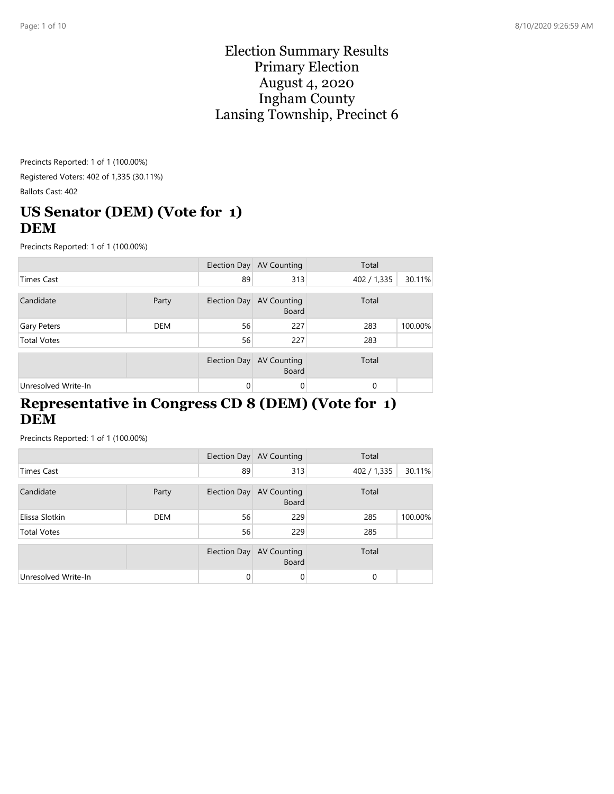#### Election Summary Results Primary Election August 4, 2020 Ingham County Lansing Township, Precinct 6

Precincts Reported: 1 of 1 (100.00%) Registered Voters: 402 of 1,335 (30.11%) Ballots Cast: 402

# **US Senator (DEM) (Vote for 1) DEM**

Precincts Reported: 1 of 1 (100.00%)

|                     |       |              | Election Day AV Counting                 | Total       |         |
|---------------------|-------|--------------|------------------------------------------|-------------|---------|
| <b>Times Cast</b>   |       | 89           | 313                                      | 402 / 1,335 | 30.11%  |
| Candidate           | Party |              | Election Day AV Counting<br><b>Board</b> | Total       |         |
| Gary Peters         | DEM   | 56           | 227                                      | 283         | 100.00% |
| <b>Total Votes</b>  |       | 56           | 227                                      | 283         |         |
|                     |       | Election Day | <b>AV Counting</b><br><b>Board</b>       | Total       |         |
| Unresolved Write-In |       | $\Omega$     | 0                                        | $\Omega$    |         |

#### **Representative in Congress CD 8 (DEM) (Vote for 1) DEM**

|                     |            |              | Election Day AV Counting                 | Total       |         |
|---------------------|------------|--------------|------------------------------------------|-------------|---------|
| Times Cast          |            | 89           | 313                                      | 402 / 1,335 | 30.11%  |
| Candidate           | Party      |              | Election Day AV Counting<br><b>Board</b> | Total       |         |
| Elissa Slotkin      | <b>DEM</b> | 56           | 229                                      | 285         | 100.00% |
| <b>Total Votes</b>  |            | 56           | 229                                      | 285         |         |
|                     |            | Election Day | AV Counting<br><b>Board</b>              | Total       |         |
| Unresolved Write-In |            | $\Omega$     | $\Omega$                                 | 0           |         |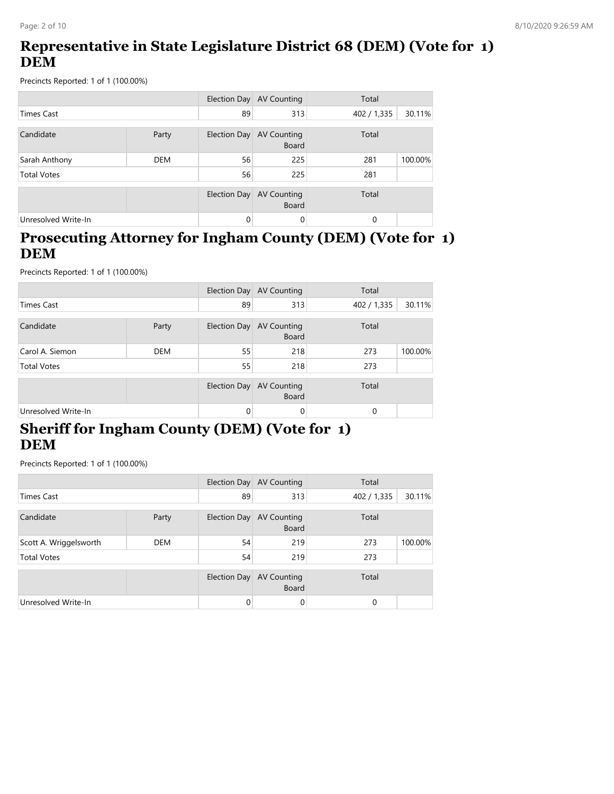## **Representative in State Legislature District 68 (DEM) (Vote for 1) DEM**

Precincts Reported: 1 of 1 (100.00%)

|                     |            |              | Election Day AV Counting           | Total       |         |
|---------------------|------------|--------------|------------------------------------|-------------|---------|
| <b>Times Cast</b>   |            | 89           | 313                                | 402 / 1,335 | 30.11%  |
| Candidate           | Party      | Election Day | <b>AV Counting</b><br><b>Board</b> | Total       |         |
| Sarah Anthony       | <b>DEM</b> | 56           | 225                                | 281         | 100.00% |
| <b>Total Votes</b>  |            | 56           | 225                                | 281         |         |
|                     |            | Election Day | <b>AV Counting</b><br><b>Board</b> | Total       |         |
| Unresolved Write-In |            | 0            | 0                                  | 0           |         |

#### **Prosecuting Attorney for Ingham County (DEM) (Vote for 1) DEM**

Precincts Reported: 1 of 1 (100.00%)

|                     |            |              | Election Day AV Counting           | Total       |         |
|---------------------|------------|--------------|------------------------------------|-------------|---------|
| <b>Times Cast</b>   |            | 89           | 313                                | 402 / 1,335 | 30.11%  |
| Candidate           | Party      | Election Day | <b>AV Counting</b><br>Board        | Total       |         |
| Carol A. Siemon     | <b>DEM</b> | 55           | 218                                | 273         | 100.00% |
| <b>Total Votes</b>  |            | 55           | 218                                | 273         |         |
|                     |            | Election Day | <b>AV Counting</b><br><b>Board</b> | Total       |         |
| Unresolved Write-In |            | 0            | 0                                  | $\Omega$    |         |

### **Sheriff for Ingham County (DEM) (Vote for 1) DEM**

|                        |            |          | Election Day AV Counting                 | Total       |         |
|------------------------|------------|----------|------------------------------------------|-------------|---------|
| <b>Times Cast</b>      |            | 89       | 313                                      | 402 / 1,335 | 30.11%  |
| Candidate              | Party      |          | Election Day AV Counting<br><b>Board</b> | Total       |         |
| Scott A. Wriggelsworth | <b>DEM</b> | 54       | 219                                      | 273         | 100.00% |
| <b>Total Votes</b>     |            | 54       | 219                                      | 273         |         |
|                        |            |          | Election Day AV Counting<br><b>Board</b> | Total       |         |
| Unresolved Write-In    |            | $\Omega$ | 0                                        | $\Omega$    |         |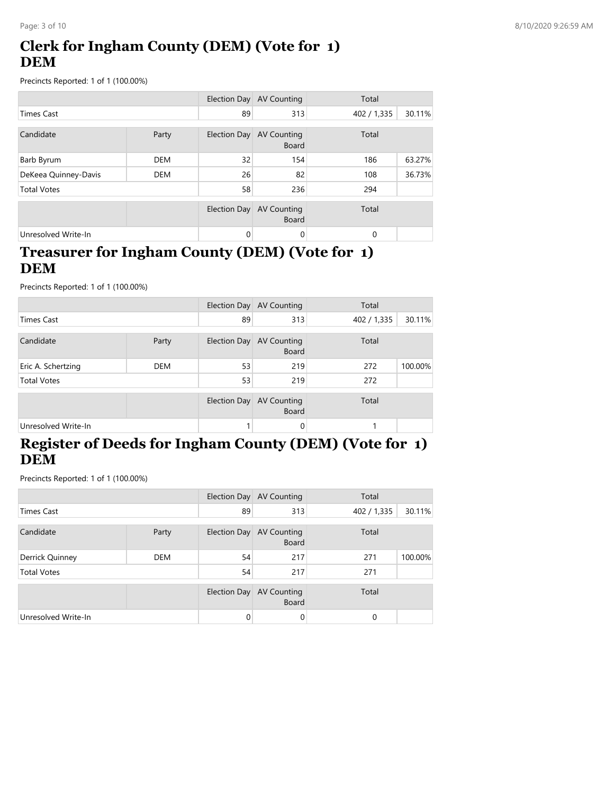# **Clerk for Ingham County (DEM) (Vote for 1) DEM**

Precincts Reported: 1 of 1 (100.00%)

|                      |            |              | Election Day AV Counting           | Total       |        |
|----------------------|------------|--------------|------------------------------------|-------------|--------|
| <b>Times Cast</b>    |            | 89           | 313                                | 402 / 1,335 | 30.11% |
| Candidate            | Party      | Election Day | <b>AV Counting</b><br><b>Board</b> | Total       |        |
| Barb Byrum           | <b>DEM</b> | 32           | 154                                | 186         | 63.27% |
| DeKeea Quinney-Davis | <b>DEM</b> | 26           | 82                                 | 108         | 36.73% |
| <b>Total Votes</b>   |            | 58           | 236                                | 294         |        |
|                      |            | Election Day | <b>AV Counting</b><br><b>Board</b> | Total       |        |
| Unresolved Write-In  |            | 0            | 0                                  | 0           |        |

### **Treasurer for Ingham County (DEM) (Vote for 1) DEM**

Precincts Reported: 1 of 1 (100.00%)

|                     |            |    | Election Day AV Counting                 | Total       |         |
|---------------------|------------|----|------------------------------------------|-------------|---------|
| <b>Times Cast</b>   |            | 89 | 313                                      | 402 / 1,335 | 30.11%  |
| Candidate           | Party      |    | Election Day AV Counting<br><b>Board</b> | Total       |         |
| Eric A. Schertzing  | <b>DEM</b> | 53 | 219                                      | 272         | 100.00% |
| <b>Total Votes</b>  |            | 53 | 219                                      | 272         |         |
|                     |            |    | Election Day AV Counting<br><b>Board</b> | Total       |         |
| Unresolved Write-In |            |    | 0                                        |             |         |

# **Register of Deeds for Ingham County (DEM) (Vote for 1) DEM**

|                     |            |              | Election Day AV Counting                 | Total       |         |
|---------------------|------------|--------------|------------------------------------------|-------------|---------|
| <b>Times Cast</b>   |            | 89           | 313                                      | 402 / 1,335 | 30.11%  |
| Candidate           | Party      |              | Election Day AV Counting<br><b>Board</b> | Total       |         |
| Derrick Quinney     | <b>DEM</b> | 54           | 217                                      | 271         | 100.00% |
| <b>Total Votes</b>  |            | 54           | 217                                      | 271         |         |
|                     |            | Election Day | <b>AV Counting</b><br><b>Board</b>       | Total       |         |
| Unresolved Write-In |            | $\Omega$     | 0                                        | 0           |         |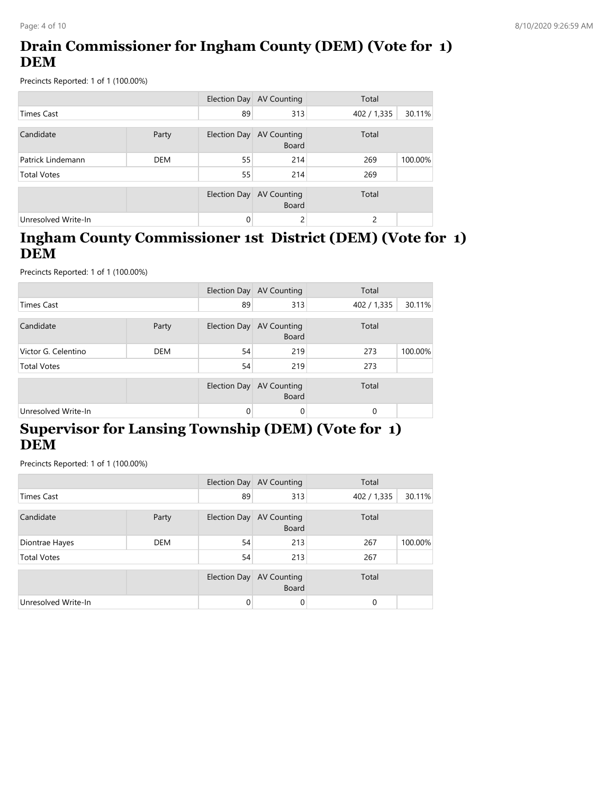# **Drain Commissioner for Ingham County (DEM) (Vote for 1) DEM**

Precincts Reported: 1 of 1 (100.00%)

|                     |            |              | Election Day AV Counting           | Total       |         |
|---------------------|------------|--------------|------------------------------------|-------------|---------|
| Times Cast          |            | 89           | 313                                | 402 / 1,335 | 30.11%  |
| Candidate           | Party      | Election Day | AV Counting<br><b>Board</b>        | Total       |         |
| Patrick Lindemann   | <b>DEM</b> | 55           | 214                                | 269         | 100.00% |
| <b>Total Votes</b>  |            | 55           | 214                                | 269         |         |
|                     |            | Election Day | <b>AV Counting</b><br><b>Board</b> | Total       |         |
| Unresolved Write-In |            | 0            | 2                                  | 2           |         |

#### **Ingham County Commissioner 1st District (DEM) (Vote for 1) DEM**

Precincts Reported: 1 of 1 (100.00%)

|                     |            |              | Election Day AV Counting           | Total       |         |
|---------------------|------------|--------------|------------------------------------|-------------|---------|
| <b>Times Cast</b>   |            | 89           | 313                                | 402 / 1,335 | 30.11%  |
| Candidate           | Party      | Election Day | <b>AV Counting</b><br>Board        | Total       |         |
| Victor G. Celentino | <b>DEM</b> | 54           | 219                                | 273         | 100.00% |
| <b>Total Votes</b>  |            | 54           | 219                                | 273         |         |
|                     |            | Election Day | <b>AV Counting</b><br><b>Board</b> | Total       |         |
| Unresolved Write-In |            | $\Omega$     | 0                                  | $\Omega$    |         |

# **Supervisor for Lansing Township (DEM) (Vote for 1) DEM**

|                     |            |              | Election Day AV Counting                 | Total       |         |
|---------------------|------------|--------------|------------------------------------------|-------------|---------|
| Times Cast          |            | 89           | 313                                      | 402 / 1,335 | 30.11%  |
| Candidate           | Party      |              | Election Day AV Counting<br><b>Board</b> | Total       |         |
| Diontrae Hayes      | <b>DEM</b> | 54           | 213                                      | 267         | 100.00% |
| <b>Total Votes</b>  |            | 54           | 213                                      | 267         |         |
|                     |            | Election Day | AV Counting<br><b>Board</b>              | Total       |         |
| Unresolved Write-In |            | $\Omega$     | 0                                        | $\Omega$    |         |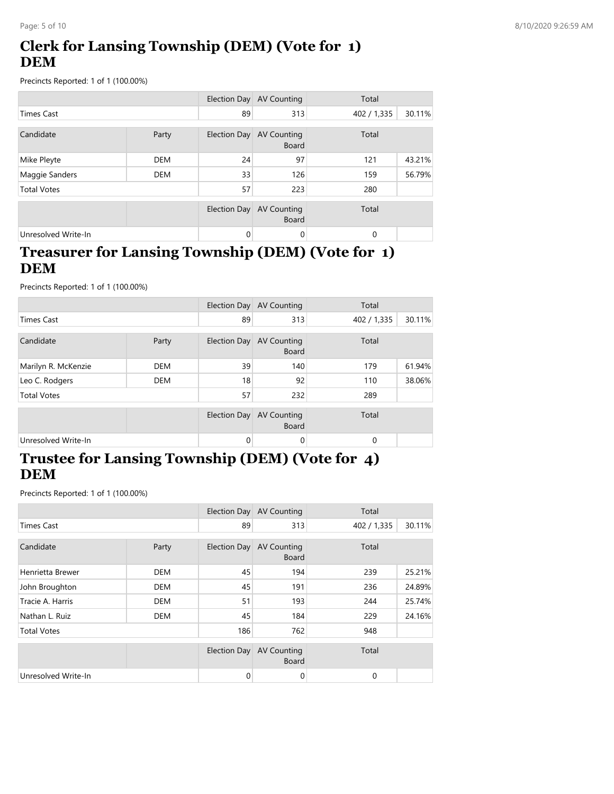# **Clerk for Lansing Township (DEM) (Vote for 1) DEM**

Precincts Reported: 1 of 1 (100.00%)

|                     |            |              | Election Day AV Counting           | Total       |        |
|---------------------|------------|--------------|------------------------------------|-------------|--------|
| <b>Times Cast</b>   |            | 89           | 313                                | 402 / 1,335 | 30.11% |
| Candidate           | Party      | Election Day | AV Counting<br><b>Board</b>        | Total       |        |
| Mike Pleyte         | <b>DEM</b> | 24           | 97                                 | 121         | 43.21% |
| Maggie Sanders      | <b>DEM</b> | 33           | 126                                | 159         | 56.79% |
| <b>Total Votes</b>  |            | 57           | 223                                | 280         |        |
|                     |            | Election Day | <b>AV Counting</b><br><b>Board</b> | Total       |        |
| Unresolved Write-In |            | $\Omega$     | 0                                  | 0           |        |

### **Treasurer for Lansing Township (DEM) (Vote for 1) DEM**

Precincts Reported: 1 of 1 (100.00%)

|                     |            |              | Election Day AV Counting                 | Total       |        |
|---------------------|------------|--------------|------------------------------------------|-------------|--------|
| <b>Times Cast</b>   |            | 89           | 313                                      | 402 / 1,335 | 30.11% |
| Candidate           | Party      | Election Day | <b>AV Counting</b><br><b>Board</b>       | Total       |        |
| Marilyn R. McKenzie | <b>DEM</b> | 39           | 140                                      | 179         | 61.94% |
| Leo C. Rodgers      | <b>DEM</b> | 18           | 92                                       | 110         | 38.06% |
| <b>Total Votes</b>  |            | 57           | 232                                      | 289         |        |
|                     |            |              | Election Day AV Counting<br><b>Board</b> | Total       |        |
| Unresolved Write-In |            | $\Omega$     | 0                                        | $\Omega$    |        |

### **Trustee for Lansing Township (DEM) (Vote for 4) DEM**

|                     |            |              | Election Day AV Counting           | Total       |        |
|---------------------|------------|--------------|------------------------------------|-------------|--------|
| <b>Times Cast</b>   |            | 89           | 313                                | 402 / 1,335 | 30.11% |
| Candidate           | Party      | Election Day | <b>AV Counting</b>                 | Total       |        |
|                     |            |              | <b>Board</b>                       |             |        |
| Henrietta Brewer    | <b>DEM</b> | 45           | 194                                | 239         | 25.21% |
| John Broughton      | DEM        | 45           | 191                                | 236         | 24.89% |
| Tracie A. Harris    | <b>DEM</b> | 51           | 193                                | 244         | 25.74% |
| Nathan L. Ruiz      | <b>DEM</b> | 45           | 184                                | 229         | 24.16% |
| <b>Total Votes</b>  |            | 186          | 762                                | 948         |        |
|                     |            | Election Day | <b>AV Counting</b><br><b>Board</b> | Total       |        |
| Unresolved Write-In |            | $\mathbf{0}$ | 0                                  | 0           |        |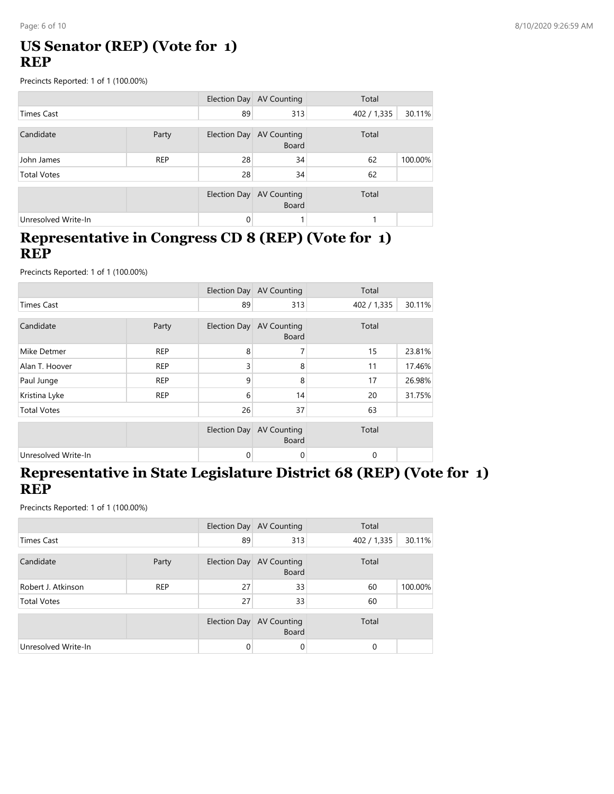### **US Senator (REP) (Vote for 1) REP**

Precincts Reported: 1 of 1 (100.00%)

|                     |            |              | Election Day AV Counting                 | Total       |         |
|---------------------|------------|--------------|------------------------------------------|-------------|---------|
| <b>Times Cast</b>   |            | 89           | 313                                      | 402 / 1,335 | 30.11%  |
| Candidate           | Party      |              | Election Day AV Counting<br><b>Board</b> | Total       |         |
| John James          | <b>REP</b> | 28           | 34                                       | 62          | 100.00% |
| <b>Total Votes</b>  |            | 28           | 34                                       | 62          |         |
|                     |            | Election Day | AV Counting<br><b>Board</b>              | Total       |         |
| Unresolved Write-In |            | $\Omega$     |                                          |             |         |

#### **Representative in Congress CD 8 (REP) (Vote for 1) REP**

Precincts Reported: 1 of 1 (100.00%)

|                     |            |                     | Election Day AV Counting           | Total       |        |
|---------------------|------------|---------------------|------------------------------------|-------------|--------|
| <b>Times Cast</b>   |            | 89                  | 313                                | 402 / 1,335 | 30.11% |
| Candidate           | Party      | Election Day        | <b>AV Counting</b><br><b>Board</b> | Total       |        |
| Mike Detmer         | <b>REP</b> | 8                   | 7                                  | 15          | 23.81% |
| Alan T. Hoover      | <b>REP</b> | 3                   | 8                                  | 11          | 17.46% |
| Paul Junge          | <b>REP</b> | 9                   | 8                                  | 17          | 26.98% |
| Kristina Lyke       | <b>REP</b> | 6                   | 14                                 | 20          | 31.75% |
| <b>Total Votes</b>  |            | 26                  | 37                                 | 63          |        |
|                     |            | <b>Election Day</b> | <b>AV Counting</b><br><b>Board</b> | Total       |        |
| Unresolved Write-In |            | 0                   | 0                                  | 0           |        |

#### **Representative in State Legislature District 68 (REP) (Vote for 1) REP**

|                     |            |              | Election Day AV Counting           | Total       |         |
|---------------------|------------|--------------|------------------------------------|-------------|---------|
| <b>Times Cast</b>   |            | 89           | 313                                | 402 / 1,335 | 30.11%  |
| Candidate           | Party      | Election Day | <b>AV Counting</b><br><b>Board</b> | Total       |         |
| Robert J. Atkinson  | <b>REP</b> | 27           | 33                                 | 60          | 100.00% |
| <b>Total Votes</b>  |            | 27           | 33                                 | 60          |         |
|                     |            | Election Day | AV Counting<br><b>Board</b>        | Total       |         |
| Unresolved Write-In |            | 0            | 0                                  | $\Omega$    |         |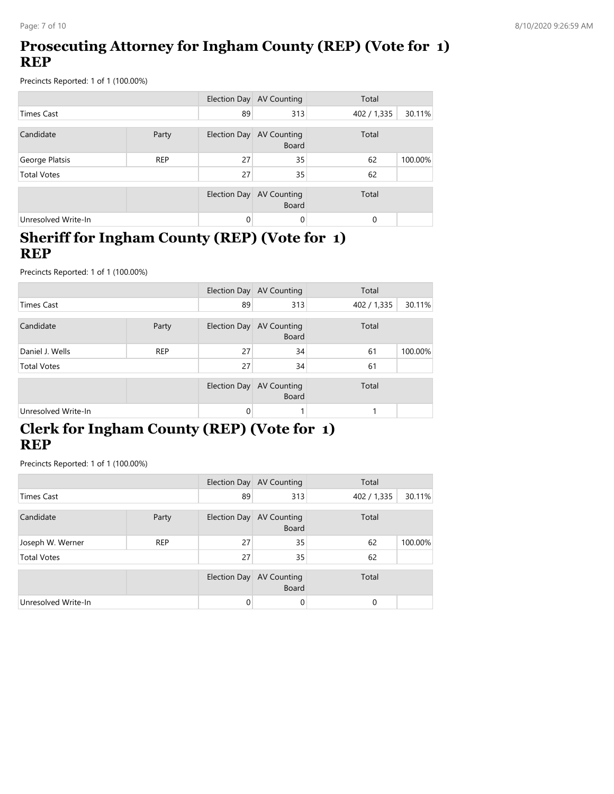### **Prosecuting Attorney for Ingham County (REP) (Vote for 1) REP**

Precincts Reported: 1 of 1 (100.00%)

|                     |            |                     | Election Day AV Counting           | Total       |         |
|---------------------|------------|---------------------|------------------------------------|-------------|---------|
| <b>Times Cast</b>   |            | 89                  | 313                                | 402 / 1,335 | 30.11%  |
| Candidate           | Party      | <b>Election Day</b> | <b>AV Counting</b><br><b>Board</b> | Total       |         |
| George Platsis      | <b>REP</b> | 27                  | 35                                 | 62          | 100.00% |
| <b>Total Votes</b>  |            | 27                  | 35                                 | 62          |         |
|                     |            | Election Day        | <b>AV Counting</b><br><b>Board</b> | Total       |         |
| Unresolved Write-In |            | $\Omega$            | $\Omega$                           | 0           |         |

#### **Sheriff for Ingham County (REP) (Vote for 1) REP**

Precincts Reported: 1 of 1 (100.00%)

|                     |            |          | Election Day AV Counting                 | Total       |         |
|---------------------|------------|----------|------------------------------------------|-------------|---------|
| <b>Times Cast</b>   |            | 89       | 313                                      | 402 / 1,335 | 30.11%  |
| Candidate           | Party      |          | Election Day AV Counting<br><b>Board</b> | Total       |         |
| Daniel J. Wells     | <b>REP</b> | 27       | 34                                       | 61          | 100.00% |
| <b>Total Votes</b>  |            | 27       | 34                                       | 61          |         |
|                     |            |          | Election Day AV Counting<br><b>Board</b> | Total       |         |
| Unresolved Write-In |            | $\Omega$ |                                          |             |         |

# **Clerk for Ingham County (REP) (Vote for 1) REP**

|                     |            |              | Election Day AV Counting                 | Total       |         |
|---------------------|------------|--------------|------------------------------------------|-------------|---------|
| <b>Times Cast</b>   |            | 89           | 313                                      | 402 / 1,335 | 30.11%  |
| Candidate           | Party      |              | Election Day AV Counting<br><b>Board</b> | Total       |         |
| Joseph W. Werner    | <b>REP</b> | 27           | 35                                       | 62          | 100.00% |
| <b>Total Votes</b>  |            | 27           | 35                                       | 62          |         |
|                     |            | Election Day | AV Counting<br><b>Board</b>              | Total       |         |
| Unresolved Write-In |            | $\Omega$     | 0                                        | $\Omega$    |         |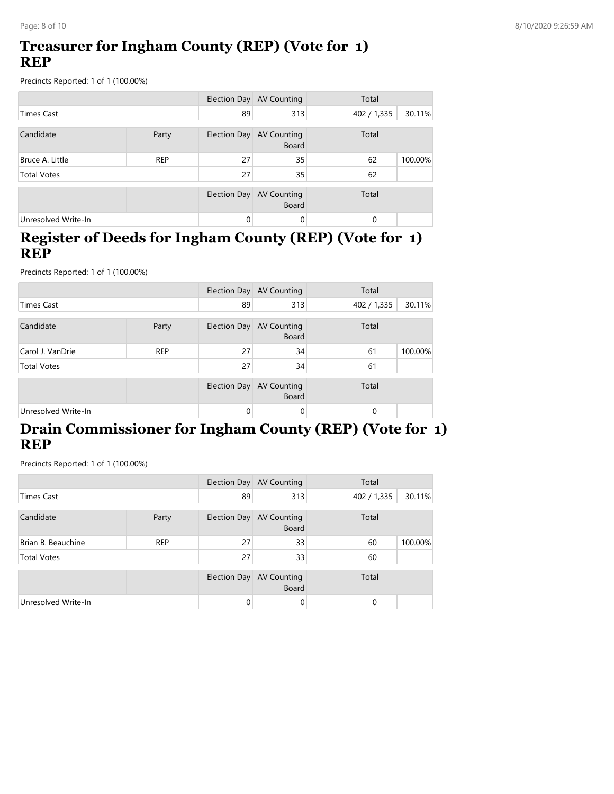### **Treasurer for Ingham County (REP) (Vote for 1) REP**

Precincts Reported: 1 of 1 (100.00%)

|                     |            |              | Election Day AV Counting           | Total       |         |
|---------------------|------------|--------------|------------------------------------|-------------|---------|
| <b>Times Cast</b>   |            | 89           | 313                                | 402 / 1,335 | 30.11%  |
| Candidate           | Party      | Election Day | AV Counting<br>Board               | Total       |         |
| Bruce A. Little     | <b>REP</b> | 27           | 35                                 | 62          | 100.00% |
| <b>Total Votes</b>  |            | 27           | 35                                 | 62          |         |
|                     |            | Election Day | <b>AV Counting</b><br><b>Board</b> | Total       |         |
| Unresolved Write-In |            | $\Omega$     | 0                                  | $\Omega$    |         |

#### **Register of Deeds for Ingham County (REP) (Vote for 1) REP**

Precincts Reported: 1 of 1 (100.00%)

|                     |            |              | Election Day AV Counting           | Total       |         |
|---------------------|------------|--------------|------------------------------------|-------------|---------|
| <b>Times Cast</b>   |            | 89           | 313                                | 402 / 1,335 | 30.11%  |
| Candidate           | Party      | Election Day | AV Counting<br><b>Board</b>        | Total       |         |
| Carol J. VanDrie    | <b>REP</b> | 27           | 34                                 | 61          | 100.00% |
| <b>Total Votes</b>  |            | 27           | 34                                 | 61          |         |
|                     |            | Election Day | <b>AV Counting</b><br><b>Board</b> | Total       |         |
| Unresolved Write-In |            | 0            | 0                                  | 0           |         |

### **Drain Commissioner for Ingham County (REP) (Vote for 1) REP**

|                     |            |              | Election Day AV Counting                 | Total       |         |
|---------------------|------------|--------------|------------------------------------------|-------------|---------|
| <b>Times Cast</b>   |            | 89           | 313                                      | 402 / 1,335 | 30.11%  |
| Candidate           | Party      |              | Election Day AV Counting<br><b>Board</b> | Total       |         |
| Brian B. Beauchine  | <b>REP</b> | 27           | 33                                       | 60          | 100.00% |
| <b>Total Votes</b>  |            | 27           | 33                                       | 60          |         |
|                     |            | Election Day | <b>AV Counting</b><br><b>Board</b>       | Total       |         |
| Unresolved Write-In |            | $\Omega$     | 0                                        | 0           |         |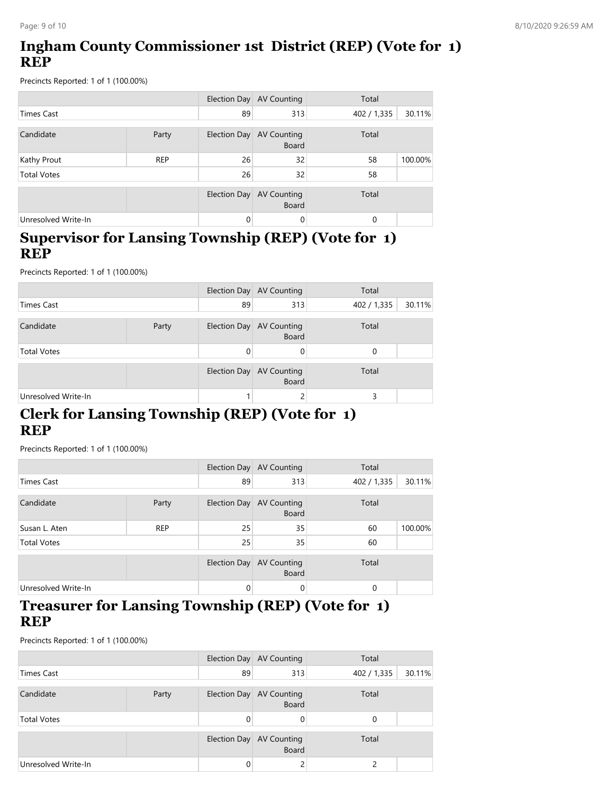# **Ingham County Commissioner 1st District (REP) (Vote for 1) REP**

Precincts Reported: 1 of 1 (100.00%)

|                     |            |              | Election Day AV Counting                 | Total       |         |
|---------------------|------------|--------------|------------------------------------------|-------------|---------|
| <b>Times Cast</b>   |            | 89           | 313                                      | 402 / 1,335 | 30.11%  |
| Candidate           | Party      |              | Election Day AV Counting<br><b>Board</b> | Total       |         |
| Kathy Prout         | <b>REP</b> | 26           | 32                                       | 58          | 100.00% |
| <b>Total Votes</b>  |            | 26           | 32                                       | 58          |         |
|                     |            | Election Day | <b>AV Counting</b><br><b>Board</b>       | Total       |         |
| Unresolved Write-In |            | $\mathbf{0}$ | $\Omega$                                 | 0           |         |

#### **Supervisor for Lansing Township (REP) (Vote for 1) REP**

Precincts Reported: 1 of 1 (100.00%)

|                     |       |    | Election Day AV Counting                 | Total                 |
|---------------------|-------|----|------------------------------------------|-----------------------|
| Times Cast          |       | 89 | 313                                      | 30.11%<br>402 / 1,335 |
| Candidate           | Party |    | Election Day AV Counting<br><b>Board</b> | Total                 |
| <b>Total Votes</b>  |       |    | 0                                        | 0                     |
|                     |       |    | Election Day AV Counting<br><b>Board</b> | Total                 |
| Unresolved Write-In |       |    |                                          | 3                     |

### **Clerk for Lansing Township (REP) (Vote for 1) REP**

Precincts Reported: 1 of 1 (100.00%)

|                     |                       |              | Election Day AV Counting    | Total       |         |
|---------------------|-----------------------|--------------|-----------------------------|-------------|---------|
| <b>Times Cast</b>   |                       | 89           | 313                         | 402 / 1,335 | 30.11%  |
| Candidate           | Election Day<br>Party |              | AV Counting<br><b>Board</b> | Total       |         |
| Susan L. Aten       | <b>REP</b>            | 25           | 35                          | 60          | 100.00% |
| <b>Total Votes</b>  |                       | 25           | 35                          | 60          |         |
|                     |                       | Election Day | AV Counting<br><b>Board</b> | Total       |         |
| Unresolved Write-In |                       | $\Omega$     | 0                           | 0           |         |

#### **Treasurer for Lansing Township (REP) (Vote for 1) REP**

|                     |  | Election Day | AV Counting                        | Total                 |
|---------------------|--|--------------|------------------------------------|-----------------------|
| Times Cast          |  | 89           | 313                                | 30.11%<br>402 / 1,335 |
| Candidate<br>Party  |  | Election Day | AV Counting<br><b>Board</b>        | Total                 |
| <b>Total Votes</b>  |  | 0            |                                    | $\Omega$              |
|                     |  | Election Day | <b>AV Counting</b><br><b>Board</b> | Total                 |
| Unresolved Write-In |  | 0            |                                    |                       |